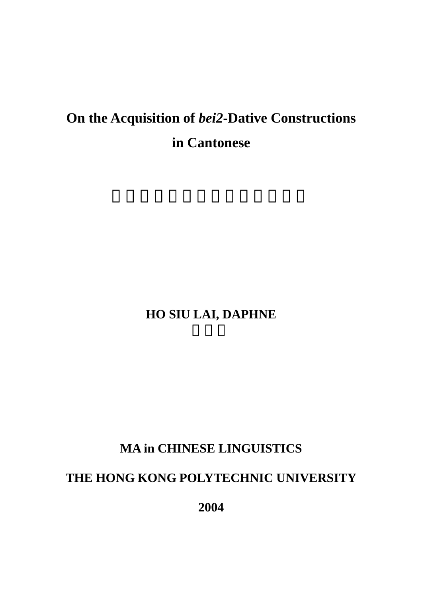# **On the Acquisition of** *bei2***-Dative Constructions in Cantonese**

**HO SIU LAI, DAPHNE** 

**MA in CHINESE LINGUISTICS** 

**THE HONG KONG POLYTECHNIC UNIVERSITY** 

**2004**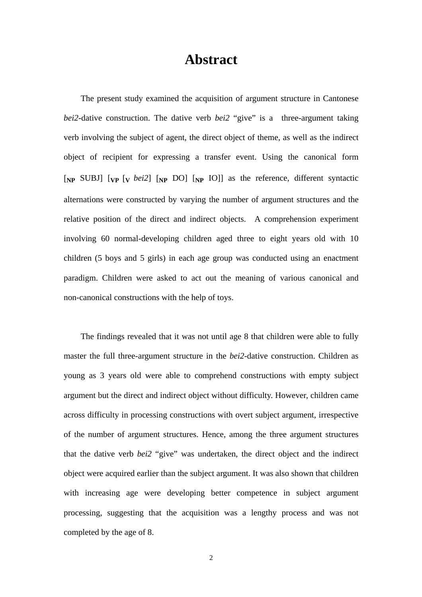# **Abstract**

The present study examined the acquisition of argument structure in Cantonese *bei2-*dative construction. The dative verb *bei2* "give" is a three-argument taking verb involving the subject of agent, the direct object of theme, as well as the indirect object of recipient for expressing a transfer event. Using the canonical form [**NP** SUBJ] [**VP** [**V** *bei2*] [**NP** DO] [**NP** IO]] as the reference, different syntactic alternations were constructed by varying the number of argument structures and the relative position of the direct and indirect objects. A comprehension experiment involving 60 normal-developing children aged three to eight years old with 10 children (5 boys and 5 girls) in each age group was conducted using an enactment paradigm. Children were asked to act out the meaning of various canonical and non-canonical constructions with the help of toys.

The findings revealed that it was not until age 8 that children were able to fully master the full three-argument structure in the *bei2*-dative construction. Children as young as 3 years old were able to comprehend constructions with empty subject argument but the direct and indirect object without difficulty. However, children came across difficulty in processing constructions with overt subject argument, irrespective of the number of argument structures. Hence, among the three argument structures that the dative verb *bei2* "give" was undertaken, the direct object and the indirect object were acquired earlier than the subject argument. It was also shown that children with increasing age were developing better competence in subject argument processing, suggesting that the acquisition was a lengthy process and was not completed by the age of 8.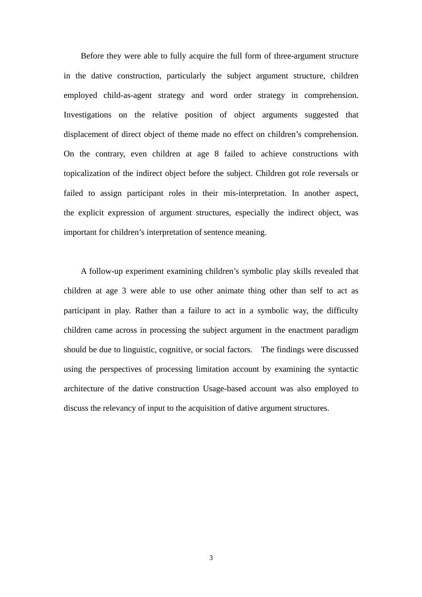Before they were able to fully acquire the full form of three-argument structure in the dative construction, particularly the subject argument structure, children employed child-as-agent strategy and word order strategy in comprehension. Investigations on the relative position of object arguments suggested that displacement of direct object of theme made no effect on children's comprehension. On the contrary, even children at age 8 failed to achieve constructions with topicalization of the indirect object before the subject. Children got role reversals or failed to assign participant roles in their mis-interpretation. In another aspect, the explicit expression of argument structures, especially the indirect object, was important for children's interpretation of sentence meaning.

A follow-up experiment examining children's symbolic play skills revealed that children at age 3 were able to use other animate thing other than self to act as participant in play. Rather than a failure to act in a symbolic way, the difficulty children came across in processing the subject argument in the enactment paradigm should be due to linguistic, cognitive, or social factors. The findings were discussed using the perspectives of processing limitation account by examining the syntactic architecture of the dative construction Usage-based account was also employed to discuss the relevancy of input to the acquisition of dative argument structures.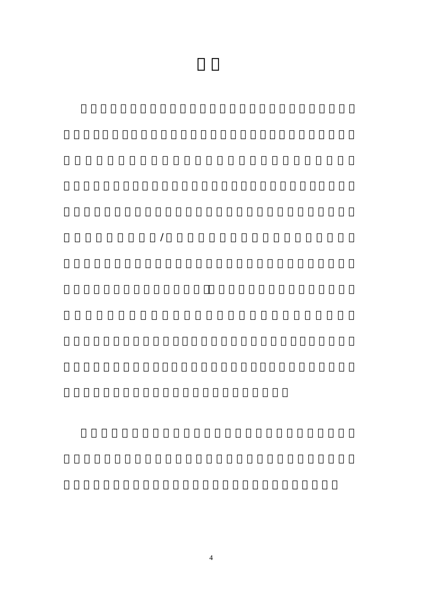4

 $\sqrt{a}$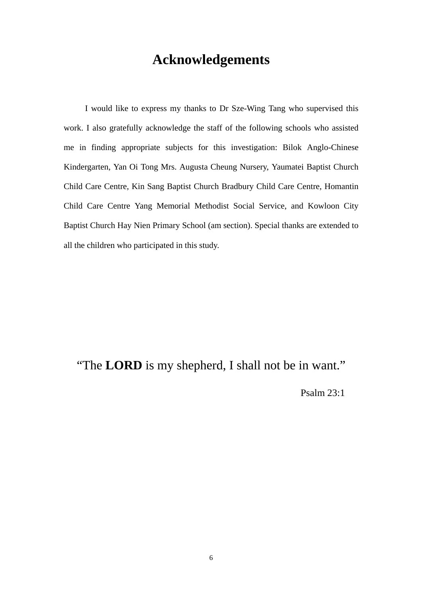# **Acknowledgements**

I would like to express my thanks to Dr Sze-Wing Tang who supervised this work. I also gratefully acknowledge the staff of the following schools who assisted me in finding appropriate subjects for this investigation: Bilok Anglo-Chinese Kindergarten, Yan Oi Tong Mrs. Augusta Cheung Nursery, Yaumatei Baptist Church Child Care Centre, Kin Sang Baptist Church Bradbury Child Care Centre, Homantin Child Care Centre Yang Memorial Methodist Social Service, and Kowloon City Baptist Church Hay Nien Primary School (am section). Special thanks are extended to all the children who participated in this study.

# "The **LORD** is my shepherd, I shall not be in want."

Psalm 23:1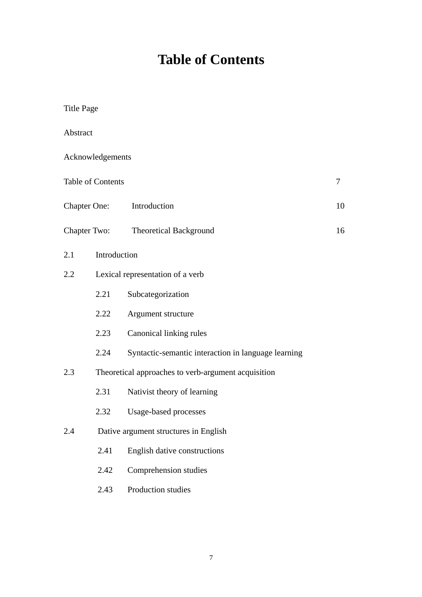# **Table of Contents**

| <b>Title Page</b>            |                                                     |                                                     |    |  |
|------------------------------|-----------------------------------------------------|-----------------------------------------------------|----|--|
| Abstract                     |                                                     |                                                     |    |  |
|                              | Acknowledgements                                    |                                                     |    |  |
|                              | <b>Table of Contents</b>                            |                                                     | 7  |  |
| Chapter One:<br>Introduction |                                                     |                                                     | 10 |  |
| <b>Chapter Two:</b>          |                                                     | <b>Theoretical Background</b>                       | 16 |  |
| 2.1                          | Introduction                                        |                                                     |    |  |
| 2.2                          | Lexical representation of a verb                    |                                                     |    |  |
|                              | 2.21                                                | Subcategorization                                   |    |  |
|                              | 2.22                                                | Argument structure                                  |    |  |
|                              | 2.23                                                | Canonical linking rules                             |    |  |
|                              | 2.24                                                | Syntactic-semantic interaction in language learning |    |  |
| 2.3                          | Theoretical approaches to verb-argument acquisition |                                                     |    |  |
|                              | 2.31                                                | Nativist theory of learning                         |    |  |
|                              | 2.32                                                | Usage-based processes                               |    |  |
| 2.4                          | Dative argument structures in English               |                                                     |    |  |
|                              | 2.41                                                | English dative constructions                        |    |  |
|                              | 2.42                                                | Comprehension studies                               |    |  |
|                              | 2.43                                                | Production studies                                  |    |  |
|                              |                                                     |                                                     |    |  |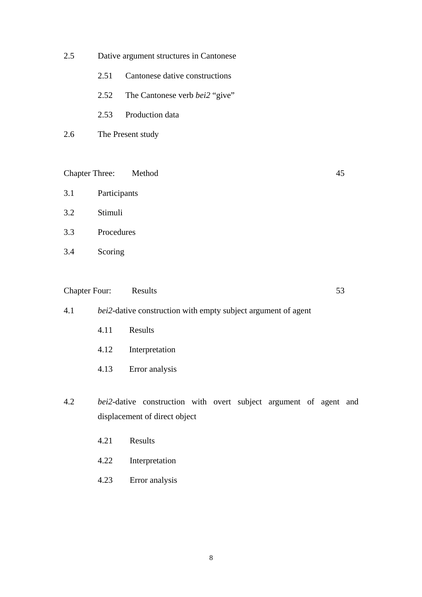- 2.5 Dative argument structures in Cantonese
	- 2.51 Cantonese dative constructions
	- 2.52 The Cantonese verb *bei2* "give"
	- 2.53 Production data

2.6 The Present study

Chapter Three: Method 45

3.1 Participants

- 3.2 Stimuli
- 3.3 Procedures
- 3.4 Scoring

| <b>Chapter Four:</b> | Results |  |
|----------------------|---------|--|
|                      |         |  |

4.1 *bei2*-dative construction with empty subject argument of agent

- 4.11 Results
- 4.12 Interpretation
- 4.13 Error analysis
- 4.2 *bei2*-dative construction with overt subject argument of agent and displacement of direct object
	- 4.21 Results
	- 4.22 Interpretation
	- 4.23 Error analysis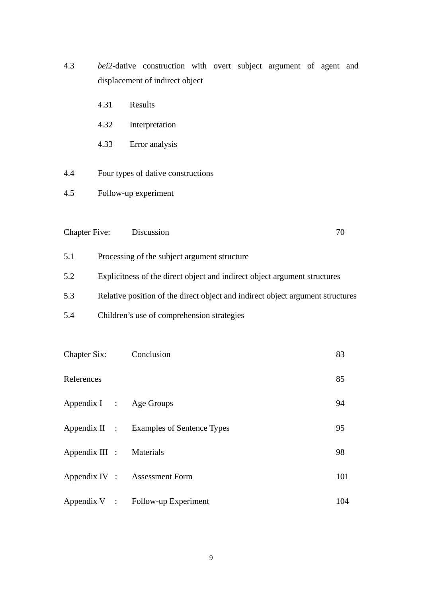- 4.3 *bei2*-dative construction with overt subject argument of agent and displacement of indirect object
	- 4.31 Results
	- 4.32 Interpretation
	- 4.33 Error analysis
- 4.4 Four types of dative constructions
- 4.5 Follow-up experiment

| <b>Chapter Five:</b> | Discussion                                                                     | 70 |
|----------------------|--------------------------------------------------------------------------------|----|
| 5.1                  | Processing of the subject argument structure                                   |    |
| 5.2                  | Explicitness of the direct object and indirect object argument structures      |    |
| 5.3                  | Relative position of the direct object and indirect object argument structures |    |
| 5.4                  | Children's use of comprehension strategies                                     |    |

| Chapter Six: Conclusion  |                                          | 83  |
|--------------------------|------------------------------------------|-----|
| References               |                                          | 85  |
| Appendix I : Age Groups  |                                          | 94  |
|                          | Appendix II : Examples of Sentence Types | 95  |
| Appendix III : Materials |                                          | 98  |
|                          | Appendix IV : Assessment Form            | 101 |
|                          | Appendix V : Follow-up Experiment        | 104 |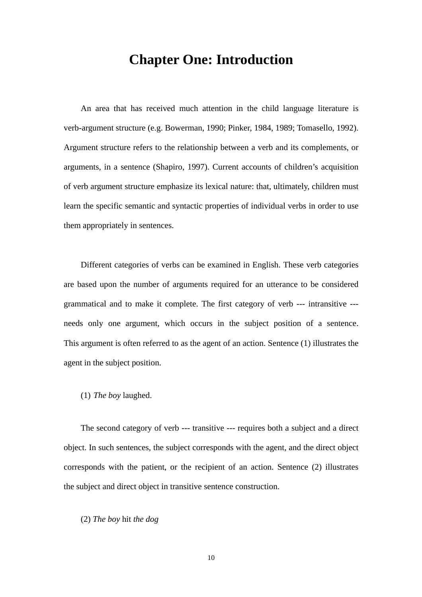# **Chapter One: Introduction**

An area that has received much attention in the child language literature is verb-argument structure (e.g. Bowerman, 1990; Pinker, 1984, 1989; Tomasello, 1992). Argument structure refers to the relationship between a verb and its complements, or arguments, in a sentence (Shapiro, 1997). Current accounts of children's acquisition of verb argument structure emphasize its lexical nature: that, ultimately, children must learn the specific semantic and syntactic properties of individual verbs in order to use them appropriately in sentences.

Different categories of verbs can be examined in English. These verb categories are based upon the number of arguments required for an utterance to be considered grammatical and to make it complete. The first category of verb --- intransitive -- needs only one argument, which occurs in the subject position of a sentence. This argument is often referred to as the agent of an action. Sentence (1) illustrates the agent in the subject position.

#### (1) *The boy* laughed.

The second category of verb --- transitive --- requires both a subject and a direct object. In such sentences, the subject corresponds with the agent, and the direct object corresponds with the patient, or the recipient of an action. Sentence (2) illustrates the subject and direct object in transitive sentence construction.

#### (2) *The boy* hit *the dog*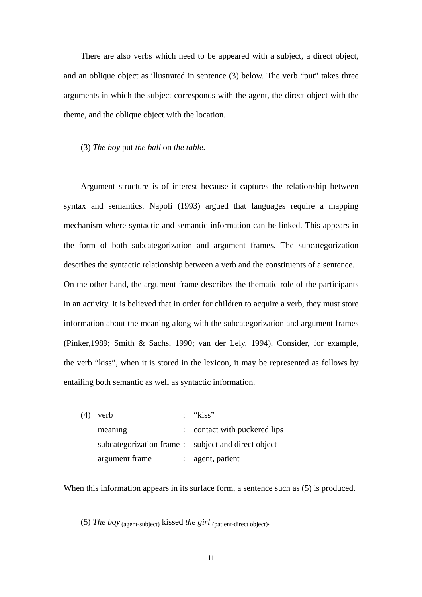There are also verbs which need to be appeared with a subject, a direct object, and an oblique object as illustrated in sentence (3) below. The verb "put" takes three arguments in which the subject corresponds with the agent, the direct object with the theme, and the oblique object with the location.

#### (3) *The boy* put *the ball* on *the table*.

 Argument structure is of interest because it captures the relationship between syntax and semantics. Napoli (1993) argued that languages require a mapping mechanism where syntactic and semantic information can be linked. This appears in the form of both subcategorization and argument frames. The subcategorization describes the syntactic relationship between a verb and the constituents of a sentence. On the other hand, the argument frame describes the thematic role of the participants in an activity. It is believed that in order for children to acquire a verb, they must store information about the meaning along with the subcategorization and argument frames (Pinker,1989; Smith & Sachs, 1990; van der Lely, 1994). Consider, for example, the verb "kiss", when it is stored in the lexicon, it may be represented as follows by entailing both semantic as well as syntactic information.

| (4) | verb                                               | $\colon$ "kiss"              |
|-----|----------------------------------------------------|------------------------------|
|     | meaning                                            | : contact with puckered lips |
|     | subcategorization frame: subject and direct object |                              |
|     | argument frame                                     | agent, patient               |

When this information appears in its surface form, a sentence such as (5) is produced.

(5) *The boy* (agent-subject) kissed *the girl* (patient-direct object).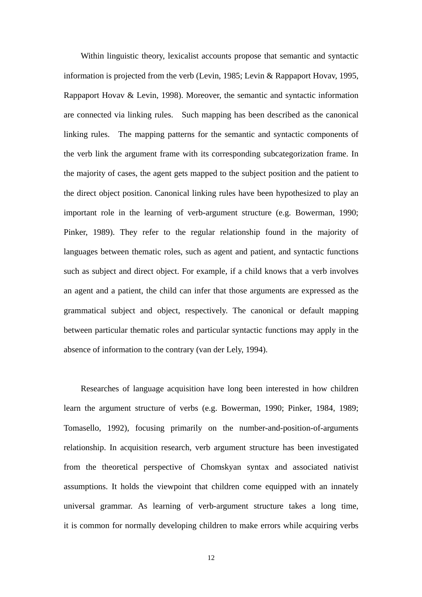Within linguistic theory, lexicalist accounts propose that semantic and syntactic information is projected from the verb (Levin, 1985; Levin & Rappaport Hovav, 1995, Rappaport Hovav & Levin, 1998). Moreover, the semantic and syntactic information are connected via linking rules. Such mapping has been described as the canonical linking rules. The mapping patterns for the semantic and syntactic components of the verb link the argument frame with its corresponding subcategorization frame. In the majority of cases, the agent gets mapped to the subject position and the patient to the direct object position. Canonical linking rules have been hypothesized to play an important role in the learning of verb-argument structure (e.g. Bowerman, 1990; Pinker, 1989). They refer to the regular relationship found in the majority of languages between thematic roles, such as agent and patient, and syntactic functions such as subject and direct object. For example, if a child knows that a verb involves an agent and a patient, the child can infer that those arguments are expressed as the grammatical subject and object, respectively. The canonical or default mapping between particular thematic roles and particular syntactic functions may apply in the absence of information to the contrary (van der Lely, 1994).

Researches of language acquisition have long been interested in how children learn the argument structure of verbs (e.g. Bowerman, 1990; Pinker, 1984, 1989; Tomasello, 1992), focusing primarily on the number-and-position-of-arguments relationship. In acquisition research, verb argument structure has been investigated from the theoretical perspective of Chomskyan syntax and associated nativist assumptions. It holds the viewpoint that children come equipped with an innately universal grammar. As learning of verb-argument structure takes a long time, it is common for normally developing children to make errors while acquiring verbs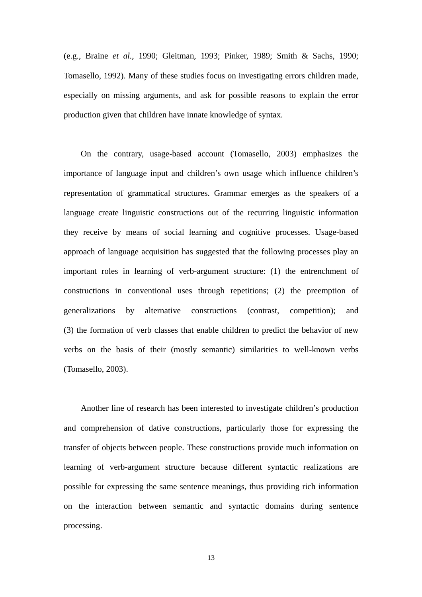(e.g., Braine *et al.*, 1990; Gleitman, 1993; Pinker, 1989; Smith & Sachs, 1990; Tomasello, 1992). Many of these studies focus on investigating errors children made, especially on missing arguments, and ask for possible reasons to explain the error production given that children have innate knowledge of syntax.

On the contrary, usage-based account (Tomasello, 2003) emphasizes the importance of language input and children's own usage which influence children's representation of grammatical structures. Grammar emerges as the speakers of a language create linguistic constructions out of the recurring linguistic information they receive by means of social learning and cognitive processes. Usage-based approach of language acquisition has suggested that the following processes play an important roles in learning of verb-argument structure: (1) the entrenchment of constructions in conventional uses through repetitions; (2) the preemption of generalizations by alternative constructions (contrast, competition); and (3) the formation of verb classes that enable children to predict the behavior of new verbs on the basis of their (mostly semantic) similarities to well-known verbs (Tomasello, 2003).

Another line of research has been interested to investigate children's production and comprehension of dative constructions, particularly those for expressing the transfer of objects between people. These constructions provide much information on learning of verb-argument structure because different syntactic realizations are possible for expressing the same sentence meanings, thus providing rich information on the interaction between semantic and syntactic domains during sentence processing.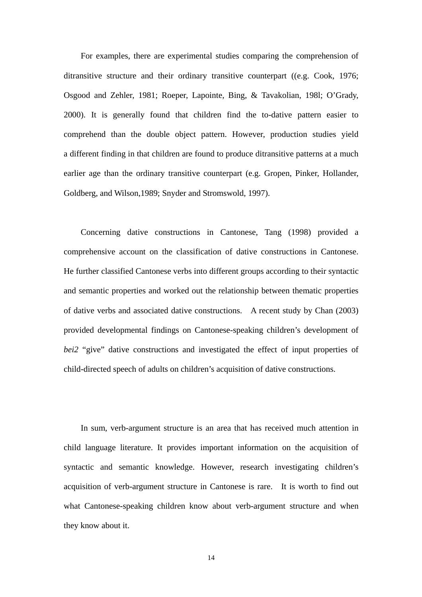For examples, there are experimental studies comparing the comprehension of ditransitive structure and their ordinary transitive counterpart ((e.g. Cook, 1976; Osgood and Zehler, 1981; Roeper, Lapointe, Bing, & Tavakolian, 198l; O'Grady, 2000). It is generally found that children find the to-dative pattern easier to comprehend than the double object pattern. However, production studies yield a different finding in that children are found to produce ditransitive patterns at a much earlier age than the ordinary transitive counterpart (e.g. Gropen, Pinker, Hollander, Goldberg, and Wilson,1989; Snyder and Stromswold, 1997).

Concerning dative constructions in Cantonese, Tang (1998) provided a comprehensive account on the classification of dative constructions in Cantonese. He further classified Cantonese verbs into different groups according to their syntactic and semantic properties and worked out the relationship between thematic properties of dative verbs and associated dative constructions. A recent study by Chan (2003) provided developmental findings on Cantonese-speaking children's development of *bei2* "give" dative constructions and investigated the effect of input properties of child-directed speech of adults on children's acquisition of dative constructions.

In sum, verb-argument structure is an area that has received much attention in child language literature. It provides important information on the acquisition of syntactic and semantic knowledge. However, research investigating children's acquisition of verb-argument structure in Cantonese is rare. It is worth to find out what Cantonese-speaking children know about verb-argument structure and when they know about it.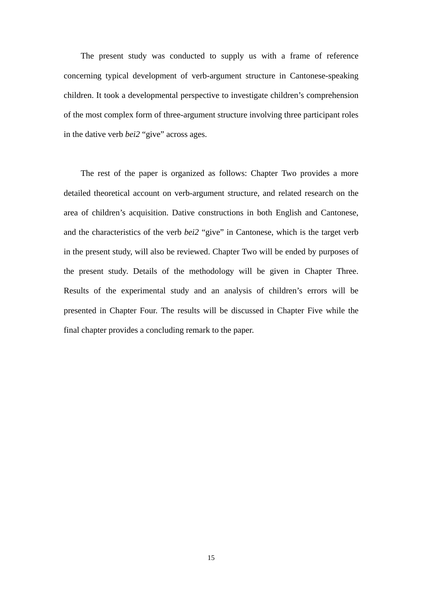The present study was conducted to supply us with a frame of reference concerning typical development of verb-argument structure in Cantonese-speaking children. It took a developmental perspective to investigate children's comprehension of the most complex form of three-argument structure involving three participant roles in the dative verb *bei2* "give" across ages.

The rest of the paper is organized as follows: Chapter Two provides a more detailed theoretical account on verb-argument structure, and related research on the area of children's acquisition. Dative constructions in both English and Cantonese, and the characteristics of the verb *bei2* "give" in Cantonese, which is the target verb in the present study, will also be reviewed. Chapter Two will be ended by purposes of the present study. Details of the methodology will be given in Chapter Three. Results of the experimental study and an analysis of children's errors will be presented in Chapter Four. The results will be discussed in Chapter Five while the final chapter provides a concluding remark to the paper.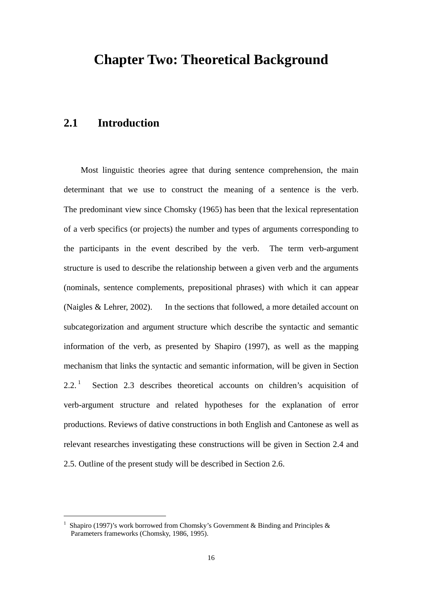# **Chapter Two: Theoretical Background**

## **2.1 Introduction**

 $\overline{a}$ 

Most linguistic theories agree that during sentence comprehension, the main determinant that we use to construct the meaning of a sentence is the verb. The predominant view since Chomsky (1965) has been that the lexical representation of a verb specifics (or projects) the number and types of arguments corresponding to the participants in the event described by the verb. The term verb-argument structure is used to describe the relationship between a given verb and the arguments (nominals, sentence complements, prepositional phrases) with which it can appear (Naigles & Lehrer, 2002). In the sections that followed, a more detailed account on subcategorization and argument structure which describe the syntactic and semantic information of the verb, as presented by Shapiro (1997), as well as the mapping mechanism that links the syntactic and semantic information, will be given in Section  $2.2<sup>1</sup>$  Section 2.3 describes theoretical accounts on children's acquisition of verb-argument structure and related hypotheses for the explanation of error productions. Reviews of dative constructions in both English and Cantonese as well as relevant researches investigating these constructions will be given in Section 2.4 and 2.5. Outline of the present study will be described in Section 2.6.

<sup>1</sup> Shapiro (1997)'s work borrowed from Chomsky's Government & Binding and Principles & Parameters frameworks (Chomsky, 1986, 1995).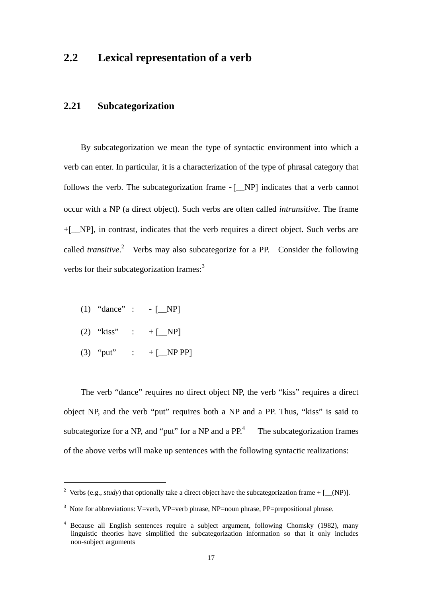## **2.2 Lexical representation of a verb**

#### **2.21 Subcategorization**

By subcategorization we mean the type of syntactic environment into which a verb can enter. In particular, it is a characterization of the type of phrasal category that follows the verb. The subcategorization frame  $-[$  NP] indicates that a verb cannot occur with a NP (a direct object). Such verbs are often called *intransitive*. The frame +[\_\_NP], in contrast, indicates that the verb requires a direct object. Such verbs are called *transitive*.<sup>2</sup> Verbs may also subcategorize for a PP. Consider the following verbs for their subcategorization frames:<sup>3</sup>

- (1) "dance" :  $-[NP]$
- (2) "kiss" :  $+$  [\_NP]

 $\overline{a}$ 

(3) "put" :  $+$  [\_NP PP]

The verb "dance" requires no direct object NP, the verb "kiss" requires a direct object NP, and the verb "put" requires both a NP and a PP. Thus, "kiss" is said to subcategorize for a NP, and "put" for a NP and a  $PP<sup>4</sup>$  The subcategorization frames of the above verbs will make up sentences with the following syntactic realizations:

<sup>&</sup>lt;sup>2</sup> Verbs (e.g., *study*) that optionally take a direct object have the subcategorization frame +  $[\_$ (NP)].

<sup>&</sup>lt;sup>3</sup> Note for abbreviations: V=verb, VP=verb phrase, NP=noun phrase, PP=prepositional phrase.

<sup>4</sup> Because all English sentences require a subject argument, following Chomsky (1982), many linguistic theories have simplified the subcategorization information so that it only includes non-subject arguments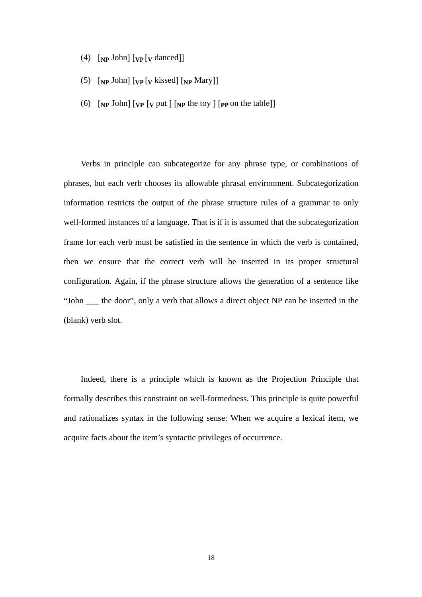- (4)  $\lceil \mathbf{v} \mathbf{p} \rceil \mathbf{v}$  danced]]
- (5) [**NP** John] [**VP** [**V** kissed] [**NP** Mary]]
- (6)  $\left[\n\begin{array}{cc}\n\text{N} & \text{John}\n\end{array}\n\right]\n\left[\n\begin{array}{c}\n\text{V} & \text{put}\n\end{array}\n\right]\n\left[\n\begin{array}{c}\n\text{N} & \text{pt}\n\end{array}\n\right]\n\left[\n\begin{array}{c}\n\text{P} & \text{pt}\n\end{array}\n\right]\n\left[\n\begin{array}{c}\n\text{P} & \text{pt}\n\end{array}\n\right]$

Verbs in principle can subcategorize for any phrase type, or combinations of phrases, but each verb chooses its allowable phrasal environment. Subcategorization information restricts the output of the phrase structure rules of a grammar to only well-formed instances of a language. That is if it is assumed that the subcategorization frame for each verb must be satisfied in the sentence in which the verb is contained, then we ensure that the correct verb will be inserted in its proper structural configuration. Again, if the phrase structure allows the generation of a sentence like "John \_\_\_ the door", only a verb that allows a direct object NP can be inserted in the (blank) verb slot.

Indeed, there is a principle which is known as the Projection Principle that formally describes this constraint on well-formedness. This principle is quite powerful and rationalizes syntax in the following sense: When we acquire a lexical item, we acquire facts about the item's syntactic privileges of occurrence.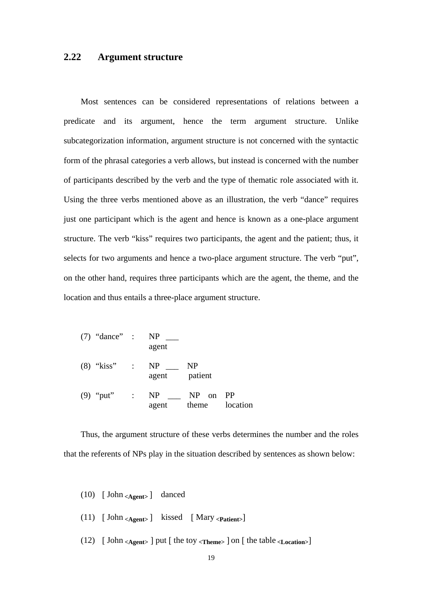#### **2.22 Argument structure**

Most sentences can be considered representations of relations between a predicate and its argument, hence the term argument structure. Unlike subcategorization information, argument structure is not concerned with the syntactic form of the phrasal categories a verb allows, but instead is concerned with the number of participants described by the verb and the type of thematic role associated with it. Using the three verbs mentioned above as an illustration, the verb "dance" requires just one participant which is the agent and hence is known as a one-place argument structure. The verb "kiss" requires two participants, the agent and the patient; thus, it selects for two arguments and hence a two-place argument structure. The verb "put", on the other hand, requires three participants which are the agent, the theme, and the location and thus entails a three-place argument structure.

| $(7)$ "dance" : | <b>NP</b><br>agent |                           |                       |
|-----------------|--------------------|---------------------------|-----------------------|
| $(8)$ "kiss"    | <b>NP</b><br>agent | N <sub>P</sub><br>patient |                       |
| $(9)$ "put"     | <b>NP</b><br>agent | NP<br>on<br>theme         | <b>PP</b><br>location |

Thus, the argument structure of these verbs determines the number and the roles that the referents of NPs play in the situation described by sentences as shown below:

- (10) [ John **<Agent>** ] danced
- (11) [ John **<Agent>** ] kissed [ Mary **<Patient>**]
- (12) [ John **<Agent>** ] put [ the toy **<Theme>** ] on [ the table **<Location>**]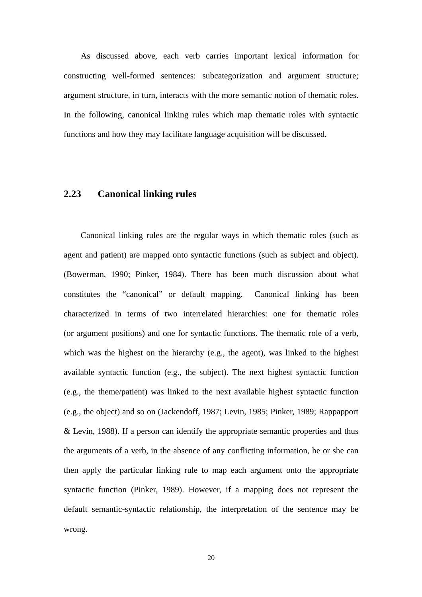As discussed above, each verb carries important lexical information for constructing well-formed sentences: subcategorization and argument structure; argument structure, in turn, interacts with the more semantic notion of thematic roles. In the following, canonical linking rules which map thematic roles with syntactic functions and how they may facilitate language acquisition will be discussed.

#### **2.23 Canonical linking rules**

 Canonical linking rules are the regular ways in which thematic roles (such as agent and patient) are mapped onto syntactic functions (such as subject and object). (Bowerman, 1990; Pinker, 1984). There has been much discussion about what constitutes the "canonical" or default mapping. Canonical linking has been characterized in terms of two interrelated hierarchies: one for thematic roles (or argument positions) and one for syntactic functions. The thematic role of a verb, which was the highest on the hierarchy (e.g., the agent), was linked to the highest available syntactic function (e.g., the subject). The next highest syntactic function (e.g., the theme/patient) was linked to the next available highest syntactic function (e.g., the object) and so on (Jackendoff, 1987; Levin, 1985; Pinker, 1989; Rappapport & Levin, 1988). If a person can identify the appropriate semantic properties and thus the arguments of a verb, in the absence of any conflicting information, he or she can then apply the particular linking rule to map each argument onto the appropriate syntactic function (Pinker, 1989). However, if a mapping does not represent the default semantic-syntactic relationship, the interpretation of the sentence may be wrong.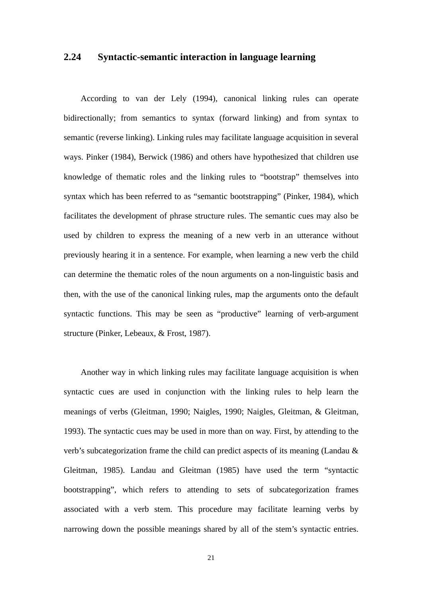#### **2.24 Syntactic-semantic interaction in language learning**

 According to van der Lely (1994), canonical linking rules can operate bidirectionally; from semantics to syntax (forward linking) and from syntax to semantic (reverse linking). Linking rules may facilitate language acquisition in several ways. Pinker (1984), Berwick (1986) and others have hypothesized that children use knowledge of thematic roles and the linking rules to "bootstrap" themselves into syntax which has been referred to as "semantic bootstrapping" (Pinker, 1984), which facilitates the development of phrase structure rules. The semantic cues may also be used by children to express the meaning of a new verb in an utterance without previously hearing it in a sentence. For example, when learning a new verb the child can determine the thematic roles of the noun arguments on a non-linguistic basis and then, with the use of the canonical linking rules, map the arguments onto the default syntactic functions. This may be seen as "productive" learning of verb-argument structure (Pinker, Lebeaux, & Frost, 1987).

Another way in which linking rules may facilitate language acquisition is when syntactic cues are used in conjunction with the linking rules to help learn the meanings of verbs (Gleitman, 1990; Naigles, 1990; Naigles, Gleitman, & Gleitman, 1993). The syntactic cues may be used in more than on way. First, by attending to the verb's subcategorization frame the child can predict aspects of its meaning (Landau & Gleitman, 1985). Landau and Gleitman (1985) have used the term "syntactic bootstrapping", which refers to attending to sets of subcategorization frames associated with a verb stem. This procedure may facilitate learning verbs by narrowing down the possible meanings shared by all of the stem's syntactic entries.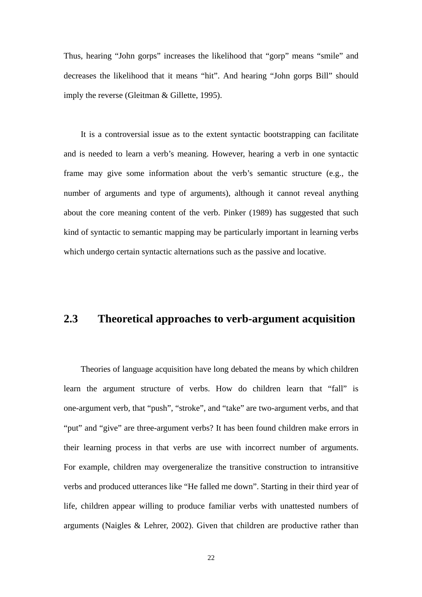Thus, hearing "John gorps" increases the likelihood that "gorp" means "smile" and decreases the likelihood that it means "hit". And hearing "John gorps Bill" should imply the reverse (Gleitman & Gillette, 1995).

It is a controversial issue as to the extent syntactic bootstrapping can facilitate and is needed to learn a verb's meaning. However, hearing a verb in one syntactic frame may give some information about the verb's semantic structure (e.g., the number of arguments and type of arguments), although it cannot reveal anything about the core meaning content of the verb. Pinker (1989) has suggested that such kind of syntactic to semantic mapping may be particularly important in learning verbs which undergo certain syntactic alternations such as the passive and locative.

## **2.3 Theoretical approaches to verb-argument acquisition**

Theories of language acquisition have long debated the means by which children learn the argument structure of verbs. How do children learn that "fall" is one-argument verb, that "push", "stroke", and "take" are two-argument verbs, and that "put" and "give" are three-argument verbs? It has been found children make errors in their learning process in that verbs are use with incorrect number of arguments. For example, children may overgeneralize the transitive construction to intransitive verbs and produced utterances like "He falled me down". Starting in their third year of life, children appear willing to produce familiar verbs with unattested numbers of arguments (Naigles & Lehrer, 2002). Given that children are productive rather than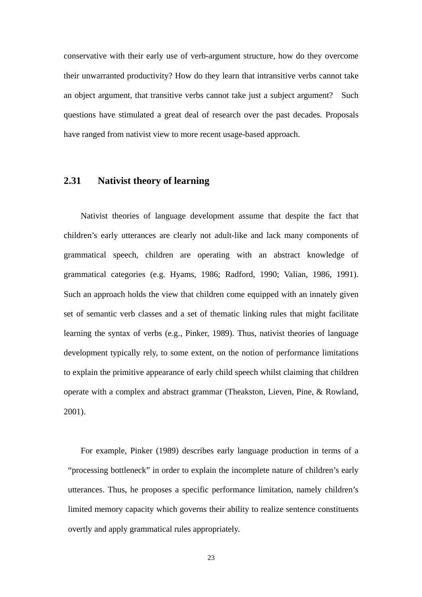conservative with their early use of verb-argument structure, how do they overcome their unwarranted productivity? How do they learn that intransitive verbs cannot take an object argument, that transitive verbs cannot take just a subject argument? Such questions have stimulated a great deal of research over the past decades. Proposals have ranged from nativist view to more recent usage-based approach.

#### **2.31 Nativist theory of learning**

Nativist theories of language development assume that despite the fact that children's early utterances are clearly not adult-like and lack many components of grammatical speech, children are operating with an abstract knowledge of grammatical categories (e.g. Hyams, 1986; Radford, 1990; Valian, 1986, 1991). Such an approach holds the view that children come equipped with an innately given set of semantic verb classes and a set of thematic linking rules that might facilitate learning the syntax of verbs (e.g., Pinker, 1989). Thus, nativist theories of language development typically rely, to some extent, on the notion of performance limitations to explain the primitive appearance of early child speech whilst claiming that children operate with a complex and abstract grammar (Theakston, Lieven, Pine, & Rowland, 2001).

For example, Pinker (1989) describes early language production in terms of a "processing bottleneck" in order to explain the incomplete nature of children's early utterances. Thus, he proposes a specific performance limitation, namely children's limited memory capacity which governs their ability to realize sentence constituents overtly and apply grammatical rules appropriately.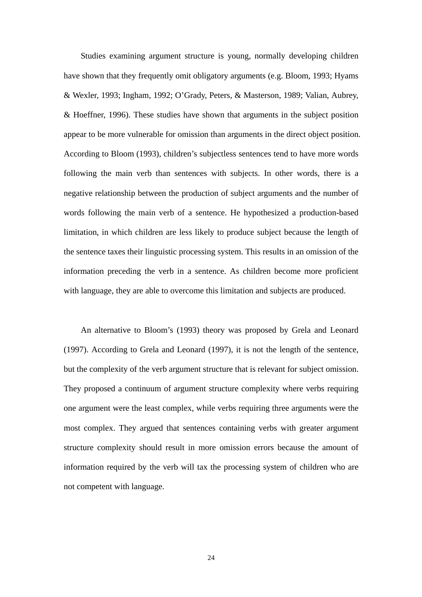Studies examining argument structure is young, normally developing children have shown that they frequently omit obligatory arguments (e.g. Bloom, 1993; Hyams & Wexler, 1993; Ingham, 1992; O'Grady, Peters, & Masterson, 1989; Valian, Aubrey, & Hoeffner, 1996). These studies have shown that arguments in the subject position appear to be more vulnerable for omission than arguments in the direct object position. According to Bloom (1993), children's subjectless sentences tend to have more words following the main verb than sentences with subjects. In other words, there is a negative relationship between the production of subject arguments and the number of words following the main verb of a sentence. He hypothesized a production-based limitation, in which children are less likely to produce subject because the length of the sentence taxes their linguistic processing system. This results in an omission of the information preceding the verb in a sentence. As children become more proficient with language, they are able to overcome this limitation and subjects are produced.

An alternative to Bloom's (1993) theory was proposed by Grela and Leonard (1997). According to Grela and Leonard (1997), it is not the length of the sentence, but the complexity of the verb argument structure that is relevant for subject omission. They proposed a continuum of argument structure complexity where verbs requiring one argument were the least complex, while verbs requiring three arguments were the most complex. They argued that sentences containing verbs with greater argument structure complexity should result in more omission errors because the amount of information required by the verb will tax the processing system of children who are not competent with language.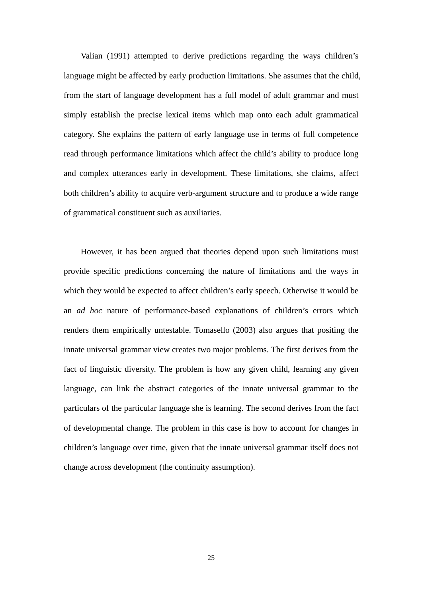Valian (1991) attempted to derive predictions regarding the ways children's language might be affected by early production limitations. She assumes that the child, from the start of language development has a full model of adult grammar and must simply establish the precise lexical items which map onto each adult grammatical category. She explains the pattern of early language use in terms of full competence read through performance limitations which affect the child's ability to produce long and complex utterances early in development. These limitations, she claims, affect both children's ability to acquire verb-argument structure and to produce a wide range of grammatical constituent such as auxiliaries.

However, it has been argued that theories depend upon such limitations must provide specific predictions concerning the nature of limitations and the ways in which they would be expected to affect children's early speech. Otherwise it would be an *ad hoc* nature of performance-based explanations of children's errors which renders them empirically untestable. Tomasello (2003) also argues that positing the innate universal grammar view creates two major problems. The first derives from the fact of linguistic diversity. The problem is how any given child, learning any given language, can link the abstract categories of the innate universal grammar to the particulars of the particular language she is learning. The second derives from the fact of developmental change. The problem in this case is how to account for changes in children's language over time, given that the innate universal grammar itself does not change across development (the continuity assumption).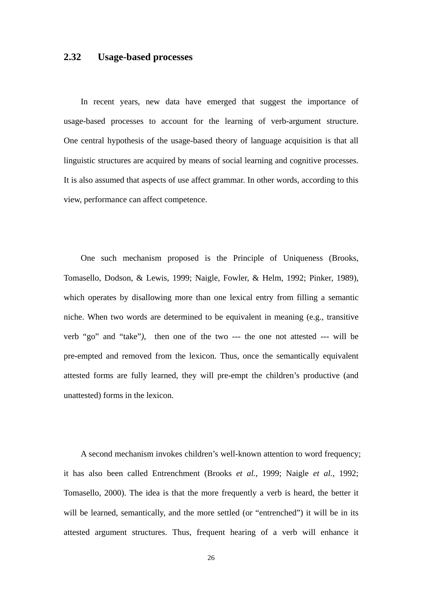#### **2.32 Usage-based processes**

In recent years, new data have emerged that suggest the importance of usage-based processes to account for the learning of verb-argument structure. One central hypothesis of the usage-based theory of language acquisition is that all linguistic structures are acquired by means of social learning and cognitive processes. It is also assumed that aspects of use affect grammar. In other words, according to this view, performance can affect competence.

One such mechanism proposed is the Principle of Uniqueness (Brooks, Tomasello, Dodson, & Lewis, 1999; Naigle, Fowler, & Helm, 1992; Pinker, 1989), which operates by disallowing more than one lexical entry from filling a semantic niche. When two words are determined to be equivalent in meaning (e.g., transitive verb "go" and "take"*)*, then one of the two --- the one not attested --- will be pre-empted and removed from the lexicon. Thus, once the semantically equivalent attested forms are fully learned, they will pre-empt the children's productive (and unattested) forms in the lexicon.

A second mechanism invokes children's well-known attention to word frequency; it has also been called Entrenchment (Brooks *et al.*, 1999; Naigle *et al.*, 1992; Tomasello, 2000). The idea is that the more frequently a verb is heard, the better it will be learned, semantically, and the more settled (or "entrenched") it will be in its attested argument structures. Thus, frequent hearing of a verb will enhance it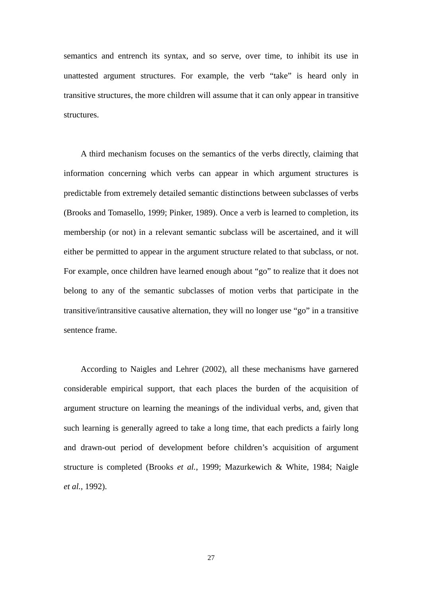semantics and entrench its syntax, and so serve, over time, to inhibit its use in unattested argument structures. For example, the verb "take" is heard only in transitive structures, the more children will assume that it can only appear in transitive structures.

A third mechanism focuses on the semantics of the verbs directly, claiming that information concerning which verbs can appear in which argument structures is predictable from extremely detailed semantic distinctions between subclasses of verbs (Brooks and Tomasello, 1999; Pinker, 1989). Once a verb is learned to completion, its membership (or not) in a relevant semantic subclass will be ascertained, and it will either be permitted to appear in the argument structure related to that subclass, or not. For example, once children have learned enough about "go" to realize that it does not belong to any of the semantic subclasses of motion verbs that participate in the transitive/intransitive causative alternation, they will no longer use "go" in a transitive sentence frame.

According to Naigles and Lehrer (2002), all these mechanisms have garnered considerable empirical support, that each places the burden of the acquisition of argument structure on learning the meanings of the individual verbs, and, given that such learning is generally agreed to take a long time, that each predicts a fairly long and drawn-out period of development before children's acquisition of argument structure is completed (Brooks *et al.*, 1999; Mazurkewich & White, 1984; Naigle *et al.*, 1992).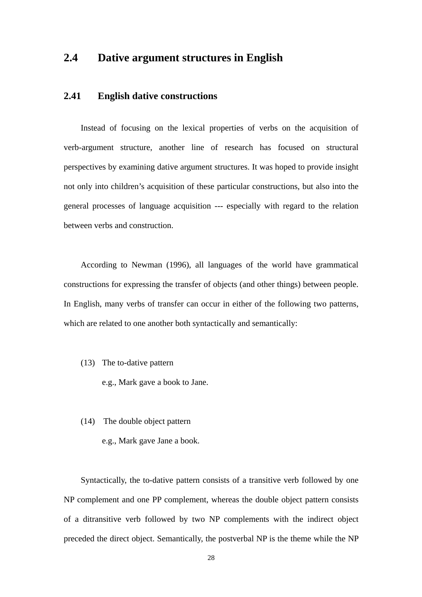## **2.4 Dative argument structures in English**

#### **2.41 English dative constructions**

 Instead of focusing on the lexical properties of verbs on the acquisition of verb-argument structure, another line of research has focused on structural perspectives by examining dative argument structures. It was hoped to provide insight not only into children's acquisition of these particular constructions, but also into the general processes of language acquisition --- especially with regard to the relation between verbs and construction.

 According to Newman (1996), all languages of the world have grammatical constructions for expressing the transfer of objects (and other things) between people. In English, many verbs of transfer can occur in either of the following two patterns, which are related to one another both syntactically and semantically:

(13) The to-dative pattern

e.g., Mark gave a book to Jane.

(14) The double object pattern

e.g., Mark gave Jane a book.

Syntactically, the to-dative pattern consists of a transitive verb followed by one NP complement and one PP complement, whereas the double object pattern consists of a ditransitive verb followed by two NP complements with the indirect object preceded the direct object. Semantically, the postverbal NP is the theme while the NP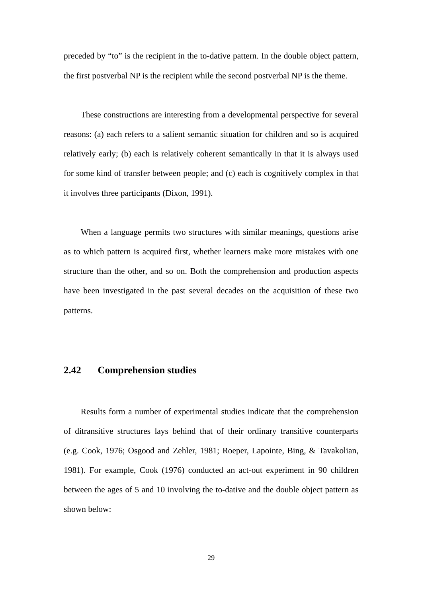preceded by "to" is the recipient in the to-dative pattern. In the double object pattern, the first postverbal NP is the recipient while the second postverbal NP is the theme.

These constructions are interesting from a developmental perspective for several reasons: (a) each refers to a salient semantic situation for children and so is acquired relatively early; (b) each is relatively coherent semantically in that it is always used for some kind of transfer between people; and (c) each is cognitively complex in that it involves three participants (Dixon, 1991).

When a language permits two structures with similar meanings, questions arise as to which pattern is acquired first, whether learners make more mistakes with one structure than the other, and so on. Both the comprehension and production aspects have been investigated in the past several decades on the acquisition of these two patterns.

## **2.42 Comprehension studies**

Results form a number of experimental studies indicate that the comprehension of ditransitive structures lays behind that of their ordinary transitive counterparts (e.g. Cook, 1976; Osgood and Zehler, 1981; Roeper, Lapointe, Bing, & Tavakolian, 1981). For example, Cook (1976) conducted an act-out experiment in 90 children between the ages of 5 and 10 involving the to-dative and the double object pattern as shown below: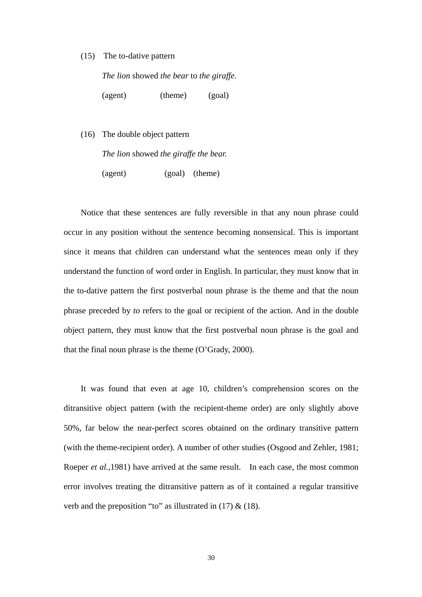#### (15) The to-dative pattern

*The lion* showed *the bear* to *the giraffe.*

(agent) (theme) (goal)

(16) The double object pattern

*The lion* showed *the giraffe the bear.*  (agent) (goal) (theme)

Notice that these sentences are fully reversible in that any noun phrase could occur in any position without the sentence becoming nonsensical. This is important since it means that children can understand what the sentences mean only if they understand the function of word order in English. In particular, they must know that in the to-dative pattern the first postverbal noun phrase is the theme and that the noun phrase preceded by *to* refers to the goal or recipient of the action. And in the double object pattern, they must know that the first postverbal noun phrase is the goal and that the final noun phrase is the theme (O'Grady, 2000).

It was found that even at age 10, children's comprehension scores on the ditransitive object pattern (with the recipient-theme order) are only slightly above 50%, far below the near-perfect scores obtained on the ordinary transitive pattern (with the theme-recipient order). A number of other studies (Osgood and Zehler, 1981; Roeper *et al.,*1981) have arrived at the same result. In each case, the most common error involves treating the ditransitive pattern as of it contained a regular transitive verb and the preposition "to" as illustrated in  $(17) \& (18)$ .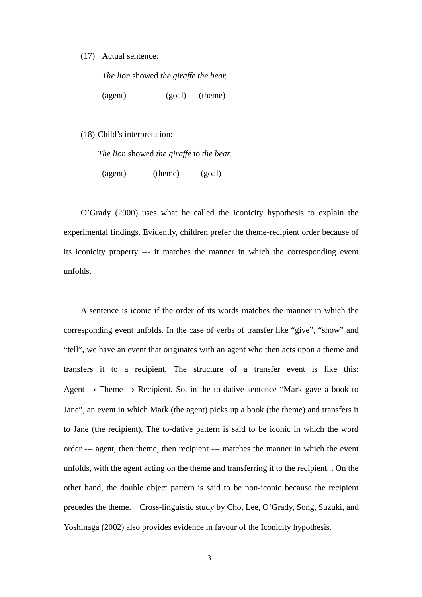#### (17) Actual sentence:

*The lion* showed *the giraffe the bear.*

(agent) (goal) (theme)

(18) Child's interpretation:

*The lion* showed *the giraffe* to *the bear.* (agent) (theme) (goal)

 O'Grady (2000) uses what he called the Iconicity hypothesis to explain the experimental findings. Evidently, children prefer the theme-recipient order because of its iconicity property --- it matches the manner in which the corresponding event unfolds.

A sentence is iconic if the order of its words matches the manner in which the corresponding event unfolds. In the case of verbs of transfer like "give", "show" and "tell", we have an event that originates with an agent who then acts upon a theme and transfers it to a recipient. The structure of a transfer event is like this: Agent  $\rightarrow$  Theme  $\rightarrow$  Recipient. So, in the to-dative sentence "Mark gave a book to Jane", an event in which Mark (the agent) picks up a book (the theme) and transfers it to Jane (the recipient). The to-dative pattern is said to be iconic in which the word order --- agent, then theme, then recipient --- matches the manner in which the event unfolds, with the agent acting on the theme and transferring it to the recipient. . On the other hand, the double object pattern is said to be non-iconic because the recipient precedes the theme. Cross-linguistic study by Cho, Lee, O'Grady, Song, Suzuki, and Yoshinaga (2002) also provides evidence in favour of the Iconicity hypothesis.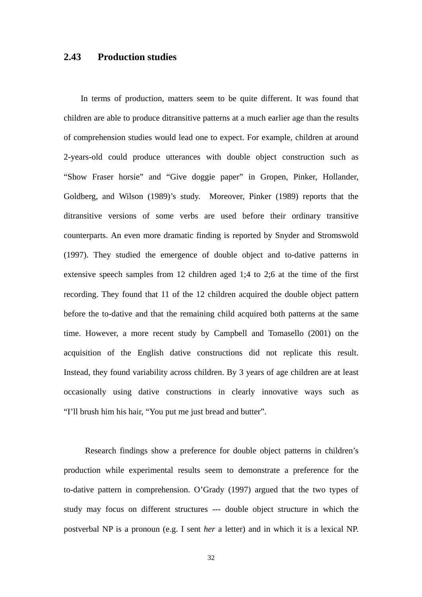#### **2.43 Production studies**

In terms of production, matters seem to be quite different. It was found that children are able to produce ditransitive patterns at a much earlier age than the results of comprehension studies would lead one to expect. For example, children at around 2-years-old could produce utterances with double object construction such as "Show Fraser horsie" and "Give doggie paper" in Gropen, Pinker, Hollander, Goldberg, and Wilson (1989)'s study. Moreover, Pinker (1989) reports that the ditransitive versions of some verbs are used before their ordinary transitive counterparts. An even more dramatic finding is reported by Snyder and Stromswold (1997). They studied the emergence of double object and to-dative patterns in extensive speech samples from 12 children aged 1;4 to 2;6 at the time of the first recording. They found that 11 of the 12 children acquired the double object pattern before the to-dative and that the remaining child acquired both patterns at the same time. However, a more recent study by Campbell and Tomasello (2001) on the acquisition of the English dative constructions did not replicate this result. Instead, they found variability across children. By 3 years of age children are at least occasionally using dative constructions in clearly innovative ways such as "I'll brush him his hair, "You put me just bread and butter".

 Research findings show a preference for double object patterns in children's production while experimental results seem to demonstrate a preference for the to-dative pattern in comprehension. O'Grady (1997) argued that the two types of study may focus on different structures --- double object structure in which the postverbal NP is a pronoun (e.g. I sent *her* a letter) and in which it is a lexical NP.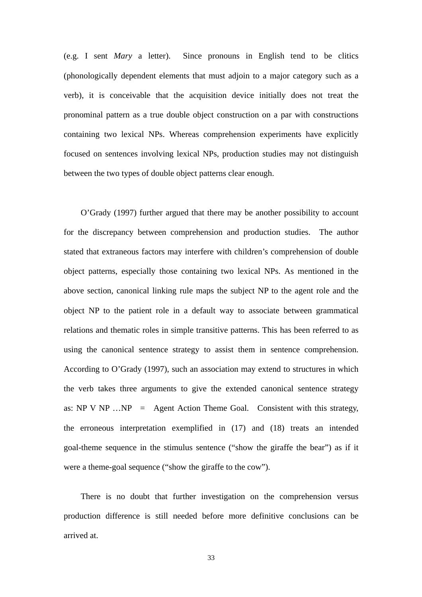(e.g. I sent *Mary* a letter). Since pronouns in English tend to be clitics (phonologically dependent elements that must adjoin to a major category such as a verb), it is conceivable that the acquisition device initially does not treat the pronominal pattern as a true double object construction on a par with constructions containing two lexical NPs. Whereas comprehension experiments have explicitly focused on sentences involving lexical NPs, production studies may not distinguish between the two types of double object patterns clear enough.

 O'Grady (1997) further argued that there may be another possibility to account for the discrepancy between comprehension and production studies. The author stated that extraneous factors may interfere with children's comprehension of double object patterns, especially those containing two lexical NPs. As mentioned in the above section, canonical linking rule maps the subject NP to the agent role and the object NP to the patient role in a default way to associate between grammatical relations and thematic roles in simple transitive patterns. This has been referred to as using the canonical sentence strategy to assist them in sentence comprehension. According to O'Grady (1997), such an association may extend to structures in which the verb takes three arguments to give the extended canonical sentence strategy as:  $NP V NP ... NP = Agent Action The me Goal. Consistent with this strategy,$ the erroneous interpretation exemplified in (17) and (18) treats an intended goal-theme sequence in the stimulus sentence ("show the giraffe the bear") as if it were a theme-goal sequence ("show the giraffe to the cow").

There is no doubt that further investigation on the comprehension versus production difference is still needed before more definitive conclusions can be arrived at.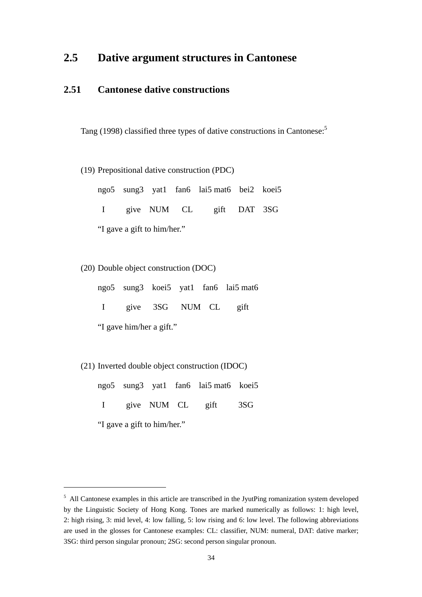## **2.5 Dative argument structures in Cantonese**

### **2.51 Cantonese dative constructions**

Tang (1998) classified three types of dative constructions in Cantonese:<sup>5</sup>

(19) Prepositional dative construction (PDC)

ngo5 sung3 yat1 fan6 lai5 mat6 bei2 koei5

I give NUM CL gift DAT 3SG

"I gave a gift to him/her."

(20) Double object construction (DOC)

 ngo5 sung3 koei5 yat1 fan6 lai5 mat6 I give 3SG NUM CL gift

"I gave him/her a gift."

(21) Inverted double object construction (IDOC)

ngo5 sung3 yat1 fan6 lai5 mat6 koei5

I give NUM CL gift 3SG

"I gave a gift to him/her."

 $\overline{a}$ 

<sup>&</sup>lt;sup>5</sup> All Cantonese examples in this article are transcribed in the JyutPing romanization system developed by the Linguistic Society of Hong Kong. Tones are marked numerically as follows: 1: high level, 2: high rising, 3: mid level, 4: low falling, 5: low rising and 6: low level. The following abbreviations are used in the glosses for Cantonese examples: CL: classifier, NUM: numeral, DAT: dative marker; 3SG: third person singular pronoun; 2SG: second person singular pronoun.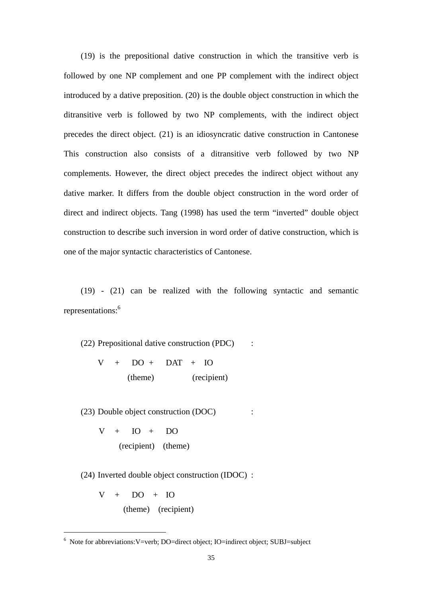(19) is the prepositional dative construction in which the transitive verb is followed by one NP complement and one PP complement with the indirect object introduced by a dative preposition. (20) is the double object construction in which the ditransitive verb is followed by two NP complements, with the indirect object precedes the direct object. (21) is an idiosyncratic dative construction in Cantonese This construction also consists of a ditransitive verb followed by two NP complements. However, the direct object precedes the indirect object without any dative marker. It differs from the double object construction in the word order of direct and indirect objects. Tang (1998) has used the term "inverted" double object construction to describe such inversion in word order of dative construction, which is one of the major syntactic characteristics of Cantonese.

(19) - (21) can be realized with the following syntactic and semantic representations:6

(22) Prepositional dative construction (PDC) :

 $V + DO + DAT + IO$ (theme) (recipient)

(23) Double object construction (DOC) :

 $V + IO + DO$ (recipient) (theme)

(24) Inverted double object construction (IDOC) :

 $V + DO + IO$ 

 $\overline{a}$ 

(theme) (recipient)

<sup>&</sup>lt;sup>6</sup> Note for abbreviations: V=verb; DO=direct object; IO=indirect object; SUBJ=subject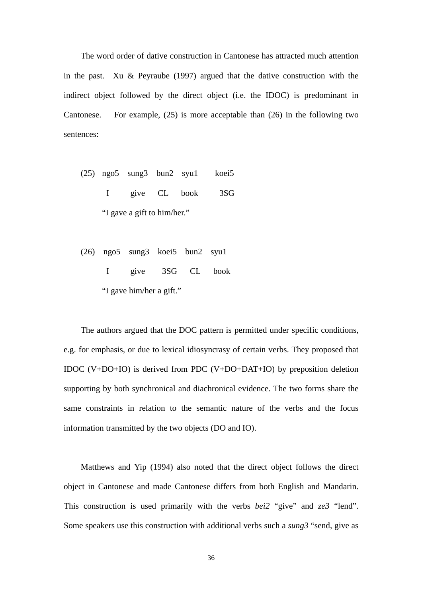The word order of dative construction in Cantonese has attracted much attention in the past. Xu & Peyraube (1997) argued that the dative construction with the indirect object followed by the direct object (i.e. the IDOC) is predominant in Cantonese. For example, (25) is more acceptable than (26) in the following two sentences:

- (25) ngo5 sung3 bun2 syu1 koei5 I give CL book 3SG "I gave a gift to him/her."
- (26) ngo5 sung3 koei5 bun2 syu1 I give 3SG CL book "I gave him/her a gift."

The authors argued that the DOC pattern is permitted under specific conditions, e.g. for emphasis, or due to lexical idiosyncrasy of certain verbs. They proposed that IDOC (V+DO+IO) is derived from PDC (V+DO+DAT+IO) by preposition deletion supporting by both synchronical and diachronical evidence. The two forms share the same constraints in relation to the semantic nature of the verbs and the focus information transmitted by the two objects (DO and IO).

Matthews and Yip (1994) also noted that the direct object follows the direct object in Cantonese and made Cantonese differs from both English and Mandarin. This construction is used primarily with the verbs *bei2* "give" and *ze3* "lend". Some speakers use this construction with additional verbs such a *sung3* "send, give as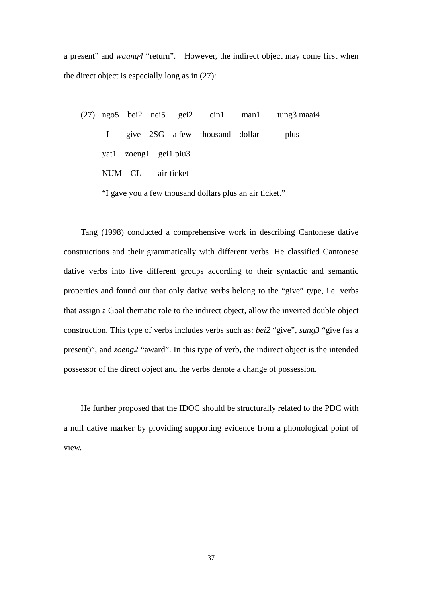a present" and *waang4* "return". However, the indirect object may come first when the direct object is especially long as in (27):

(27) ngo5 bei2 nei5 gei2 cin1 man1 tung3 maai4 I give 2SG a few thousand dollar plus yat1 zoeng1 gei1 piu3 NUM CL air-ticket "I gave you a few thousand dollars plus an air ticket."

Tang (1998) conducted a comprehensive work in describing Cantonese dative constructions and their grammatically with different verbs. He classified Cantonese dative verbs into five different groups according to their syntactic and semantic properties and found out that only dative verbs belong to the "give" type, i.e. verbs that assign a Goal thematic role to the indirect object, allow the inverted double object construction. This type of verbs includes verbs such as: *bei2* "give", *sung3* "give (as a present)", and *zoeng2* "award". In this type of verb, the indirect object is the intended possessor of the direct object and the verbs denote a change of possession.

He further proposed that the IDOC should be structurally related to the PDC with a null dative marker by providing supporting evidence from a phonological point of view.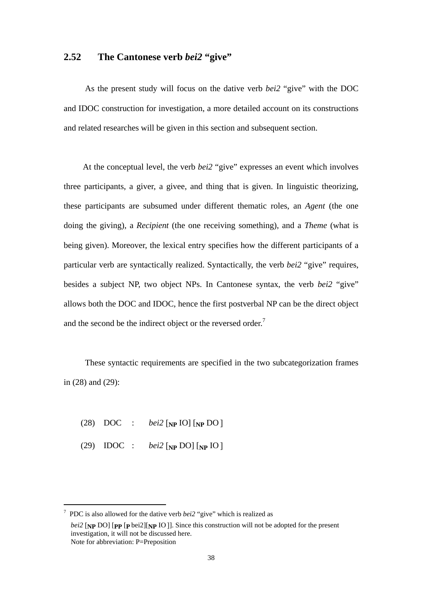#### **2.52 The Cantonese verb** *bei2* **"give"**

As the present study will focus on the dative verb *bei2* "give" with the DOC and IDOC construction for investigation, a more detailed account on its constructions and related researches will be given in this section and subsequent section.

At the conceptual level, the verb *bei2* "give" expresses an event which involves three participants, a giver, a givee, and thing that is given. In linguistic theorizing, these participants are subsumed under different thematic roles, an *Agent* (the one doing the giving), a *Recipient* (the one receiving something), and a *Theme* (what is being given). Moreover, the lexical entry specifies how the different participants of a particular verb are syntactically realized. Syntactically, the verb *bei2* "give" requires, besides a subject NP, two object NPs. In Cantonese syntax, the verb *bei2* "give" allows both the DOC and IDOC, hence the first postverbal NP can be the direct object and the second be the indirect object or the reversed order.<sup>7</sup>

 These syntactic requirements are specified in the two subcategorization frames in (28) and (29):

- (28) DOC : *bei2* [**NP** IO] [**NP** DO ]
- (29) IDOC : *bei2* [**NP** DO] [**NP** IO ]

 $\overline{a}$ 

<sup>7</sup> PDC is also allowed for the dative verb *bei2* "give" which is realized as *bei2* [**NP** DO] [**PP** [**P** bei2][**NP** IO ]]. Since this construction will not be adopted for the present investigation, it will not be discussed here. Note for abbreviation: P=Preposition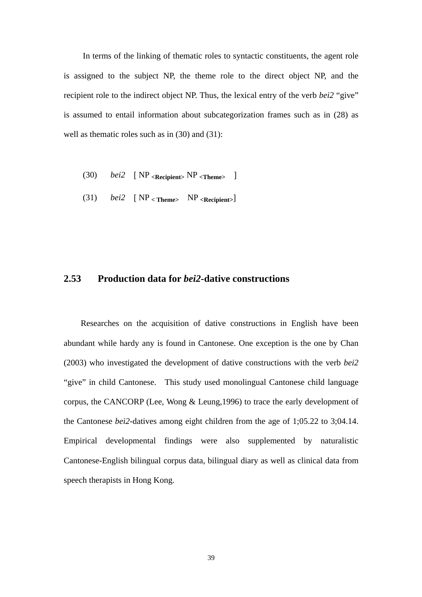In terms of the linking of thematic roles to syntactic constituents, the agent role is assigned to the subject NP, the theme role to the direct object NP, and the recipient role to the indirect object NP. Thus, the lexical entry of the verb *bei2* "give" is assumed to entail information about subcategorization frames such as in (28) as well as thematic roles such as in  $(30)$  and  $(31)$ :

- (30) *bei2* [ NP **<Recipient>** NP **<Theme>** ]
- (31) *bei2* [ NP **< Theme>** NP **<Recipient>**]

#### **2.53 Production data for** *bei2-***dative constructions**

Researches on the acquisition of dative constructions in English have been abundant while hardy any is found in Cantonese. One exception is the one by Chan (2003) who investigated the development of dative constructions with the verb *bei2* "give" in child Cantonese. This study used monolingual Cantonese child language corpus, the CANCORP (Lee, Wong & Leung,1996) to trace the early development of the Cantonese *bei2*-datives among eight children from the age of 1;05.22 to 3;04.14. Empirical developmental findings were also supplemented by naturalistic Cantonese-English bilingual corpus data, bilingual diary as well as clinical data from speech therapists in Hong Kong.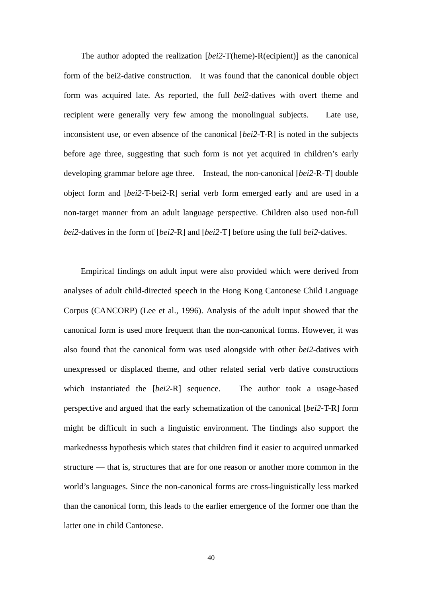The author adopted the realization [*bei2*-T(heme)-R(ecipient)] as the canonical form of the bei2-dative construction. It was found that the canonical double object form was acquired late. As reported, the full *bei2-*datives with overt theme and recipient were generally very few among the monolingual subjects. Late use, inconsistent use, or even absence of the canonical [*bei2*-T-R] is noted in the subjects before age three, suggesting that such form is not yet acquired in children's early developing grammar before age three. Instead, the non-canonical [*bei2*-R-T] double object form and [*bei2*-T-bei2-R] serial verb form emerged early and are used in a non-target manner from an adult language perspective. Children also used non-full *bei2*-datives in the form of [*bei2*-R] and [*bei2*-T] before using the full *bei2*-datives.

 Empirical findings on adult input were also provided which were derived from analyses of adult child-directed speech in the Hong Kong Cantonese Child Language Corpus (CANCORP) (Lee et al., 1996). Analysis of the adult input showed that the canonical form is used more frequent than the non-canonical forms. However, it was also found that the canonical form was used alongside with other *bei2*-datives with unexpressed or displaced theme, and other related serial verb dative constructions which instantiated the [*bei2*-R] sequence. The author took a usage-based perspective and argued that the early schematization of the canonical [*bei2*-T-R] form might be difficult in such a linguistic environment. The findings also support the markednesss hypothesis which states that children find it easier to acquired unmarked structure — that is, structures that are for one reason or another more common in the world's languages. Since the non-canonical forms are cross-linguistically less marked than the canonical form, this leads to the earlier emergence of the former one than the latter one in child Cantonese.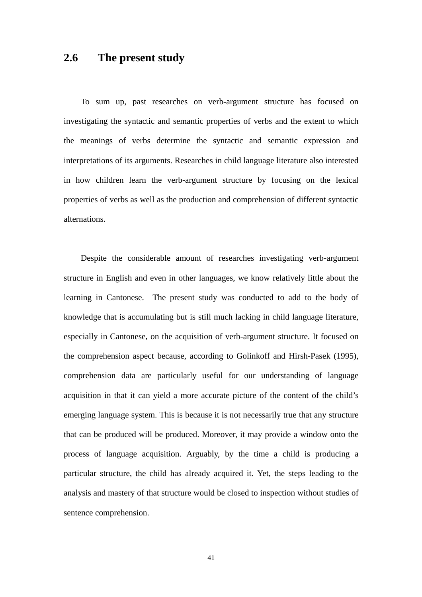### **2.6 The present study**

To sum up, past researches on verb-argument structure has focused on investigating the syntactic and semantic properties of verbs and the extent to which the meanings of verbs determine the syntactic and semantic expression and interpretations of its arguments. Researches in child language literature also interested in how children learn the verb-argument structure by focusing on the lexical properties of verbs as well as the production and comprehension of different syntactic alternations.

Despite the considerable amount of researches investigating verb-argument structure in English and even in other languages, we know relatively little about the learning in Cantonese. The present study was conducted to add to the body of knowledge that is accumulating but is still much lacking in child language literature, especially in Cantonese, on the acquisition of verb-argument structure. It focused on the comprehension aspect because, according to Golinkoff and Hirsh-Pasek (1995), comprehension data are particularly useful for our understanding of language acquisition in that it can yield a more accurate picture of the content of the child's emerging language system. This is because it is not necessarily true that any structure that can be produced will be produced. Moreover, it may provide a window onto the process of language acquisition. Arguably, by the time a child is producing a particular structure, the child has already acquired it. Yet, the steps leading to the analysis and mastery of that structure would be closed to inspection without studies of sentence comprehension.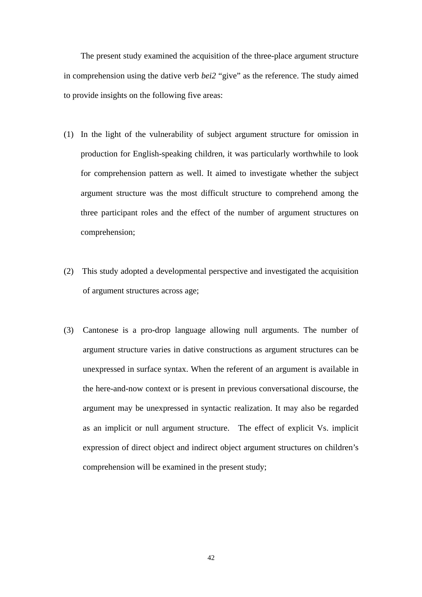The present study examined the acquisition of the three-place argument structure in comprehension using the dative verb *bei2* "give" as the reference. The study aimed to provide insights on the following five areas:

- (1) In the light of the vulnerability of subject argument structure for omission in production for English-speaking children, it was particularly worthwhile to look for comprehension pattern as well. It aimed to investigate whether the subject argument structure was the most difficult structure to comprehend among the three participant roles and the effect of the number of argument structures on comprehension;
- (2) This study adopted a developmental perspective and investigated the acquisition of argument structures across age;
- (3) Cantonese is a pro-drop language allowing null arguments. The number of argument structure varies in dative constructions as argument structures can be unexpressed in surface syntax. When the referent of an argument is available in the here-and-now context or is present in previous conversational discourse, the argument may be unexpressed in syntactic realization. It may also be regarded as an implicit or null argument structure. The effect of explicit Vs. implicit expression of direct object and indirect object argument structures on children's comprehension will be examined in the present study;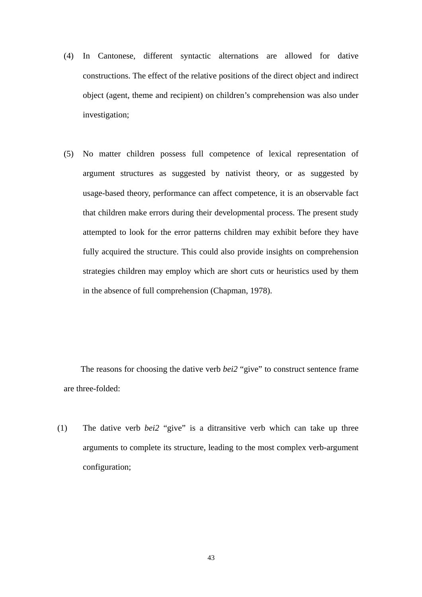- (4) In Cantonese, different syntactic alternations are allowed for dative constructions. The effect of the relative positions of the direct object and indirect object (agent, theme and recipient) on children's comprehension was also under investigation;
- (5) No matter children possess full competence of lexical representation of argument structures as suggested by nativist theory, or as suggested by usage-based theory, performance can affect competence, it is an observable fact that children make errors during their developmental process. The present study attempted to look for the error patterns children may exhibit before they have fully acquired the structure. This could also provide insights on comprehension strategies children may employ which are short cuts or heuristics used by them in the absence of full comprehension (Chapman, 1978).

The reasons for choosing the dative verb *bei2* "give" to construct sentence frame are three-folded:

(1) The dative verb *bei2* "give" is a ditransitive verb which can take up three arguments to complete its structure, leading to the most complex verb-argument configuration;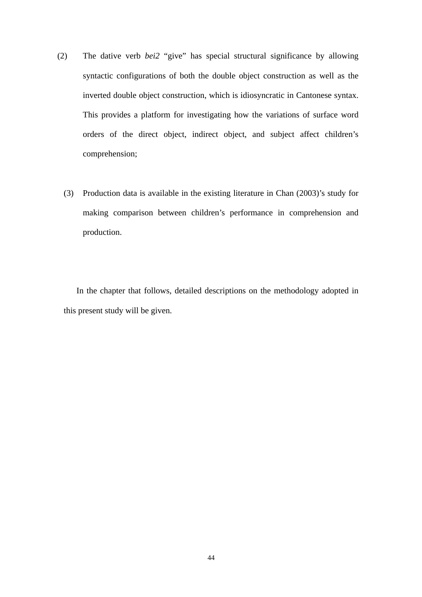- (2) The dative verb *bei2* "give" has special structural significance by allowing syntactic configurations of both the double object construction as well as the inverted double object construction, which is idiosyncratic in Cantonese syntax. This provides a platform for investigating how the variations of surface word orders of the direct object, indirect object, and subject affect children's comprehension;
	- (3) Production data is available in the existing literature in Chan (2003)'s study for making comparison between children's performance in comprehension and production.

In the chapter that follows, detailed descriptions on the methodology adopted in this present study will be given.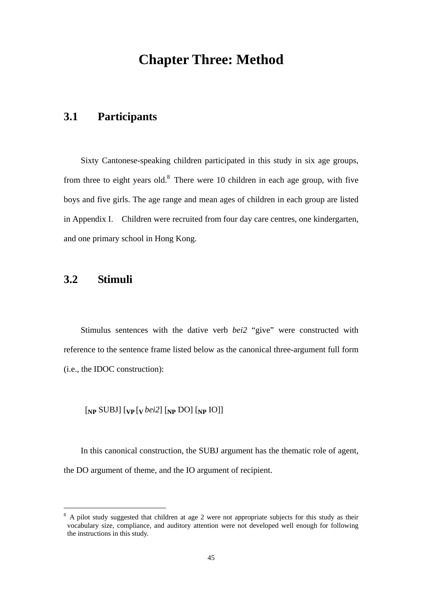# **Chapter Three: Method**

## **3.1 Participants**

Sixty Cantonese-speaking children participated in this study in six age groups, from three to eight years old.<sup>8</sup> There were 10 children in each age group, with five boys and five girls. The age range and mean ages of children in each group are listed in Appendix I. Children were recruited from four day care centres, one kindergarten, and one primary school in Hong Kong.

## **3.2 Stimuli**

 $\overline{a}$ 

Stimulus sentences with the dative verb *bei2* "give" were constructed with reference to the sentence frame listed below as the canonical three-argument full form (i.e., the IDOC construction):

[**NP** SUBJ] [**VP** [**V** *bei2*] [**NP** DO] [**NP** IO]]

In this canonical construction, the SUBJ argument has the thematic role of agent, the DO argument of theme, and the IO argument of recipient.

<sup>&</sup>lt;sup>8</sup> A pilot study suggested that children at age 2 were not appropriate subjects for this study as their vocabulary size, compliance, and auditory attention were not developed well enough for following the instructions in this study.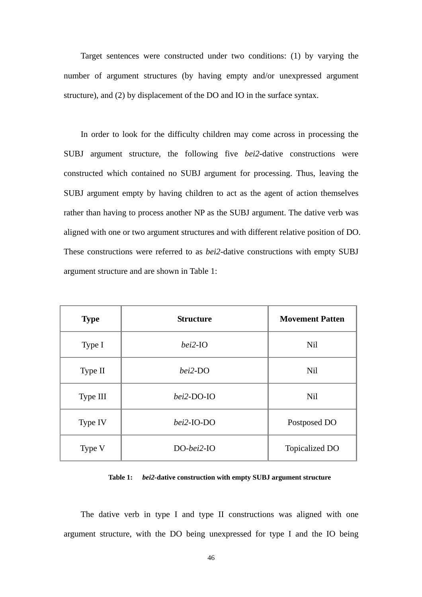Target sentences were constructed under two conditions: (1) by varying the number of argument structures (by having empty and/or unexpressed argument structure), and (2) by displacement of the DO and IO in the surface syntax.

In order to look for the difficulty children may come across in processing the SUBJ argument structure, the following five *bei2-*dative constructions were constructed which contained no SUBJ argument for processing. Thus, leaving the SUBJ argument empty by having children to act as the agent of action themselves rather than having to process another NP as the SUBJ argument. The dative verb was aligned with one or two argument structures and with different relative position of DO. These constructions were referred to as *bei2*-dative constructions with empty SUBJ argument structure and are shown in Table 1:

| <b>Type</b> | <b>Structure</b> | <b>Movement Patten</b> |
|-------------|------------------|------------------------|
| Type I      | $bei2-IO$        | Nil                    |
| Type II     | $bei2-DO$        | <b>Nil</b>             |
| Type III    | bei2-DO-IO       | <b>Nil</b>             |
| Type IV     | bei2-IO-DO       | Postposed DO           |
| Type V      | $DO-bei2-IO$     | Topicalized DO         |

#### **Table 1:** *bei2-***dative construction with empty SUBJ argument structure**

The dative verb in type I and type II constructions was aligned with one argument structure, with the DO being unexpressed for type I and the IO being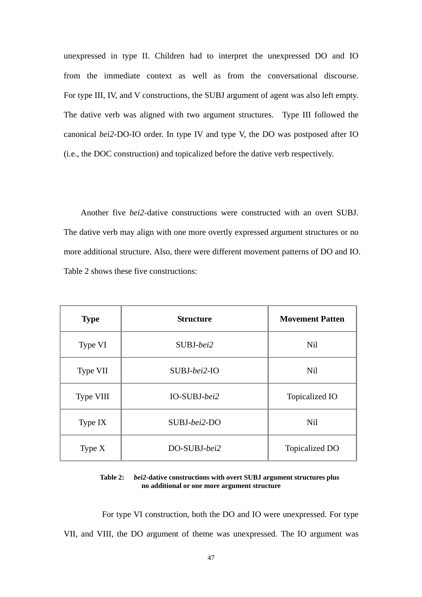unexpressed in type II. Children had to interpret the unexpressed DO and IO from the immediate context as well as from the conversational discourse. For type III, IV, and V constructions, the SUBJ argument of agent was also left empty. The dative verb was aligned with two argument structures. Type III followed the canonical *bei2-*DO-IO order. In type IV and type V, the DO was postposed after IO (i.e., the DOC construction) and topicalized before the dative verb respectively.

Another five *bei2-*dative constructions were constructed with an overt SUBJ. The dative verb may align with one more overtly expressed argument structures or no more additional structure. Also, there were different movement patterns of DO and IO. Table 2 shows these five constructions:

| <b>Type</b>     | <b>Structure</b> | <b>Movement Patten</b> |
|-----------------|------------------|------------------------|
| Type VI         | SUBJ-bei2        | <b>Nil</b>             |
| <b>Type VII</b> | $SUBJ-bei2-IO$   | <b>Nil</b>             |
| Type VIII       | IO-SUBJ-bei2     | Topicalized IO         |
| Type IX         | SUBJ-bei2-DO     | <b>Nil</b>             |
| Type $X$        | DO-SUBJ-bei2     | Topicalized DO         |

#### **Table 2:** *bei2-***dative constructions with overt SUBJ argument structures plus no additional or one more argument structure**

 For type VI construction, both the DO and IO were unexpressed. For type VII, and VIII, the DO argument of theme was unexpressed. The IO argument was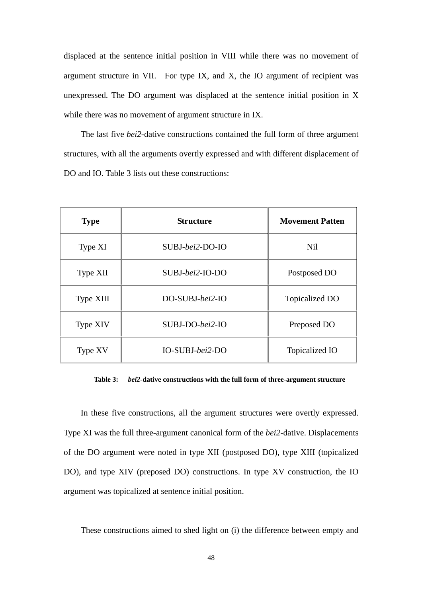displaced at the sentence initial position in VIII while there was no movement of argument structure in VII. For type IX, and X, the IO argument of recipient was unexpressed. The DO argument was displaced at the sentence initial position in X while there was no movement of argument structure in IX.

The last five *bei2-*dative constructions contained the full form of three argument structures, with all the arguments overtly expressed and with different displacement of DO and IO. Table 3 lists out these constructions:

| <b>Type</b>     | <b>Structure</b>                       | <b>Movement Patten</b> |  |  |
|-----------------|----------------------------------------|------------------------|--|--|
| Type XI         | $SUBJ\text{-}bei2\text{-}DO\text{-}IO$ | <b>Nil</b>             |  |  |
| <b>Type XII</b> | $SUBJ\text{-}bei2\text{-}IO\text{-}DO$ | Postposed DO           |  |  |
| Type XIII       | DO-SUBJ-bei2-IO                        | Topicalized DO         |  |  |
| <b>Type XIV</b> | SUBJ-DO-bei2-IO                        | Preposed DO            |  |  |
| Type XV         | IO-SUBJ-bei2-DO                        | Topicalized IO         |  |  |

**Table 3:** *bei2-***dative constructions with the full form of three-argument structure** 

In these five constructions, all the argument structures were overtly expressed. Type XI was the full three-argument canonical form of the *bei2*-dative. Displacements of the DO argument were noted in type XII (postposed DO), type XIII (topicalized DO), and type XIV (preposed DO) constructions. In type XV construction, the IO argument was topicalized at sentence initial position.

These constructions aimed to shed light on (i) the difference between empty and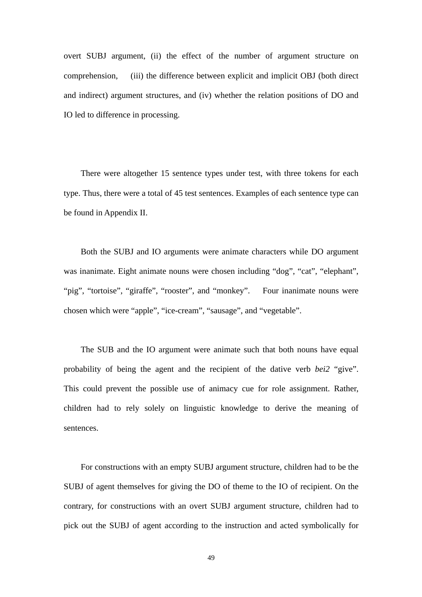overt SUBJ argument, (ii) the effect of the number of argument structure on comprehension, (iii) the difference between explicit and implicit OBJ (both direct and indirect) argument structures, and (iv) whether the relation positions of DO and IO led to difference in processing.

There were altogether 15 sentence types under test, with three tokens for each type. Thus, there were a total of 45 test sentences. Examples of each sentence type can be found in Appendix II.

Both the SUBJ and IO arguments were animate characters while DO argument was inanimate. Eight animate nouns were chosen including "dog", "cat", "elephant", "pig", "tortoise", "giraffe", "rooster", and "monkey". Four inanimate nouns were chosen which were "apple", "ice-cream", "sausage", and "vegetable".

The SUB and the IO argument were animate such that both nouns have equal probability of being the agent and the recipient of the dative verb *bei2* "give". This could prevent the possible use of animacy cue for role assignment. Rather, children had to rely solely on linguistic knowledge to derive the meaning of sentences.

For constructions with an empty SUBJ argument structure, children had to be the SUBJ of agent themselves for giving the DO of theme to the IO of recipient. On the contrary, for constructions with an overt SUBJ argument structure, children had to pick out the SUBJ of agent according to the instruction and acted symbolically for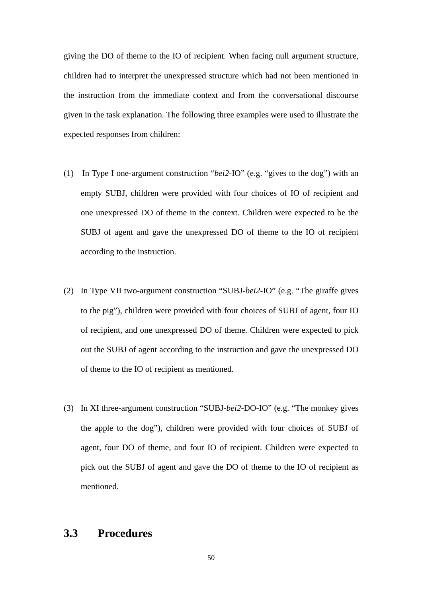giving the DO of theme to the IO of recipient. When facing null argument structure, children had to interpret the unexpressed structure which had not been mentioned in the instruction from the immediate context and from the conversational discourse given in the task explanation. The following three examples were used to illustrate the expected responses from children:

- (1) In Type I one-argument construction "*bei2*-IO" (e.g. "gives to the dog") with an empty SUBJ, children were provided with four choices of IO of recipient and one unexpressed DO of theme in the context. Children were expected to be the SUBJ of agent and gave the unexpressed DO of theme to the IO of recipient according to the instruction.
- (2) In Type VII two-argument construction "SUBJ-*bei2*-IO" (e.g. "The giraffe gives to the pig"), children were provided with four choices of SUBJ of agent, four IO of recipient, and one unexpressed DO of theme. Children were expected to pick out the SUBJ of agent according to the instruction and gave the unexpressed DO of theme to the IO of recipient as mentioned.
- (3) In XI three-argument construction "SUBJ-*bei2*-DO-IO" (e.g. "The monkey gives the apple to the dog"), children were provided with four choices of SUBJ of agent, four DO of theme, and four IO of recipient. Children were expected to pick out the SUBJ of agent and gave the DO of theme to the IO of recipient as mentioned.

## **3.3 Procedures**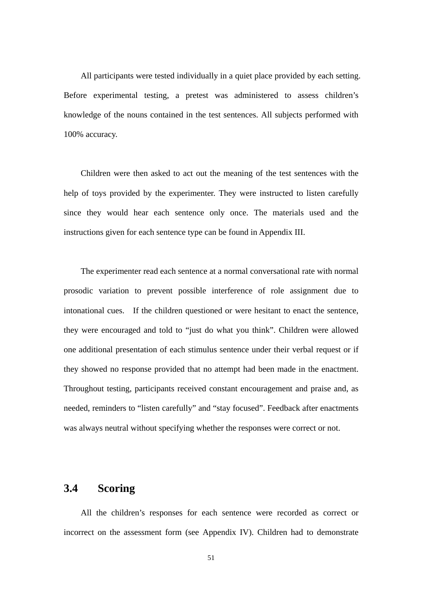All participants were tested individually in a quiet place provided by each setting. Before experimental testing, a pretest was administered to assess children's knowledge of the nouns contained in the test sentences. All subjects performed with 100% accuracy.

Children were then asked to act out the meaning of the test sentences with the help of toys provided by the experimenter. They were instructed to listen carefully since they would hear each sentence only once. The materials used and the instructions given for each sentence type can be found in Appendix III.

The experimenter read each sentence at a normal conversational rate with normal prosodic variation to prevent possible interference of role assignment due to intonational cues. If the children questioned or were hesitant to enact the sentence, they were encouraged and told to "just do what you think". Children were allowed one additional presentation of each stimulus sentence under their verbal request or if they showed no response provided that no attempt had been made in the enactment. Throughout testing, participants received constant encouragement and praise and, as needed, reminders to "listen carefully" and "stay focused". Feedback after enactments was always neutral without specifying whether the responses were correct or not.

## **3.4 Scoring**

All the children's responses for each sentence were recorded as correct or incorrect on the assessment form (see Appendix IV). Children had to demonstrate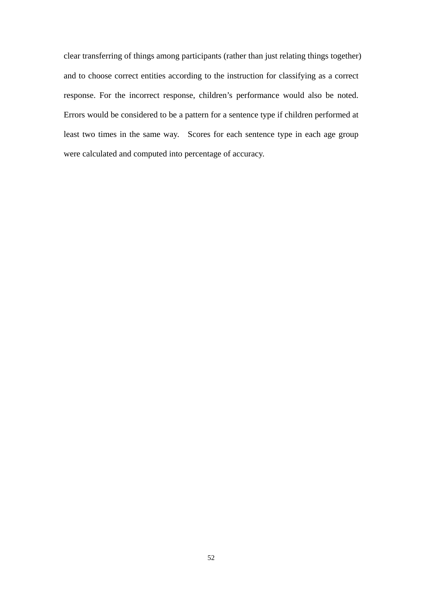clear transferring of things among participants (rather than just relating things together) and to choose correct entities according to the instruction for classifying as a correct response. For the incorrect response, children's performance would also be noted. Errors would be considered to be a pattern for a sentence type if children performed at least two times in the same way. Scores for each sentence type in each age group were calculated and computed into percentage of accuracy.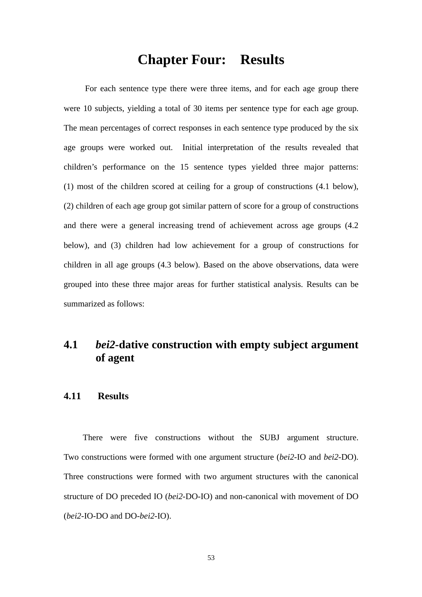# **Chapter Four: Results**

 For each sentence type there were three items, and for each age group there were 10 subjects, yielding a total of 30 items per sentence type for each age group. The mean percentages of correct responses in each sentence type produced by the six age groups were worked out. Initial interpretation of the results revealed that children's performance on the 15 sentence types yielded three major patterns: (1) most of the children scored at ceiling for a group of constructions (4.1 below), (2) children of each age group got similar pattern of score for a group of constructions and there were a general increasing trend of achievement across age groups (4.2 below), and (3) children had low achievement for a group of constructions for children in all age groups (4.3 below). Based on the above observations, data were grouped into these three major areas for further statistical analysis. Results can be summarized as follows:

## **4.1** *bei2-***dative construction with empty subject argument of agent**

#### **4.11 Results**

There were five constructions without the SUBJ argument structure. Two constructions were formed with one argument structure (*bei2*-IO and *bei2*-DO). Three constructions were formed with two argument structures with the canonical structure of DO preceded IO (*bei2*-DO-IO) and non-canonical with movement of DO (*bei2*-IO-DO and DO-*bei2*-IO).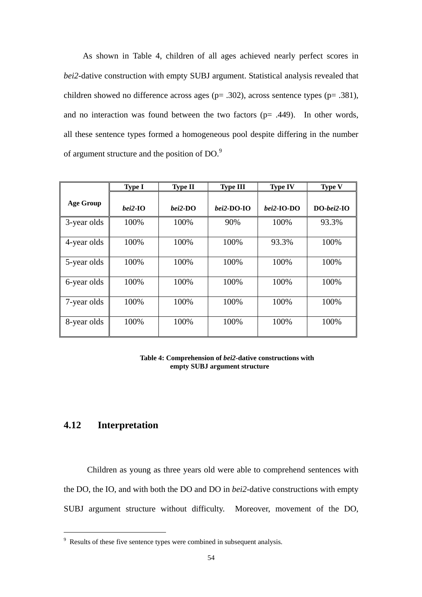As shown in Table 4, children of all ages achieved nearly perfect scores in *bei2-*dative construction with empty SUBJ argument. Statistical analysis revealed that children showed no difference across ages (p= .302), across sentence types (p= .381), and no interaction was found between the two factors (p= .449). In other words, all these sentence types formed a homogeneous pool despite differing in the number of argument structure and the position of DO. $9$ 

|                  | <b>Type I</b> | <b>Type II</b> | <b>Type III</b> | <b>Type IV</b> | <b>Type V</b>     |
|------------------|---------------|----------------|-----------------|----------------|-------------------|
| <b>Age Group</b> | $bei2-IO$     | $bei2-DO$      | $bei2-DO-IO$    | $bei2-IO-DO$   | $DO$ -bei $2$ -IO |
| 3-year olds      | 100%          | 100%           | 90%             | 100%           | 93.3%             |
| 4-year olds      | 100%          | 100%           | 100%            | 93.3%          | 100%              |
| 5-year olds      | 100%          | 100%           | 100%            | 100%           | 100%              |
| 6-year olds      | 100%          | 100%           | 100%            | 100%           | 100%              |
| 7-year olds      | 100%          | 100%           | 100%            | 100%           | 100%              |
| 8-year olds      | 100%          | 100%           | 100%            | 100%           | 100%              |

**Table 4: Comprehension of** *bei2***-dative constructions with empty SUBJ argument structure** 

## **4.12 Interpretation**

 $\overline{a}$ 

 Children as young as three years old were able to comprehend sentences with the DO, the IO, and with both the DO and DO in *bei2-*dative constructions with empty SUBJ argument structure without difficulty. Moreover, movement of the DO,

<sup>&</sup>lt;sup>9</sup> Results of these five sentence types were combined in subsequent analysis.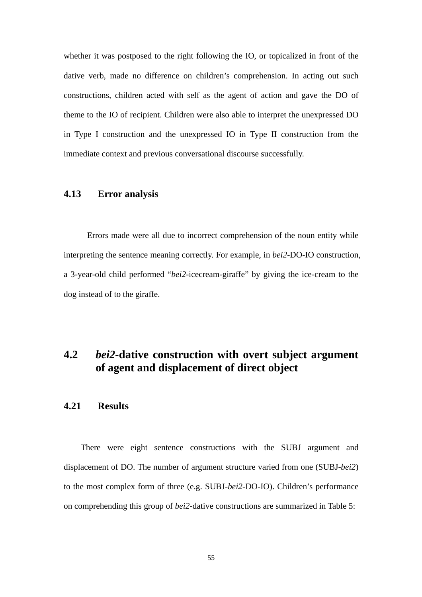whether it was postposed to the right following the IO, or topicalized in front of the dative verb, made no difference on children's comprehension. In acting out such constructions, children acted with self as the agent of action and gave the DO of theme to the IO of recipient. Children were also able to interpret the unexpressed DO in Type I construction and the unexpressed IO in Type II construction from the immediate context and previous conversational discourse successfully.

#### **4.13 Error analysis**

Errors made were all due to incorrect comprehension of the noun entity while interpreting the sentence meaning correctly. For example, in *bei2*-DO-IO construction, a 3-year-old child performed "*bei2-*icecream-giraffe" by giving the ice-cream to the dog instead of to the giraffe.

## **4.2** *bei2-***dative construction with overt subject argument of agent and displacement of direct object**

#### **4.21 Results**

There were eight sentence constructions with the SUBJ argument and displacement of DO. The number of argument structure varied from one (SUBJ-*bei2*) to the most complex form of three (e.g. SUBJ-*bei2*-DO-IO). Children's performance on comprehending this group of *bei2*-dative constructions are summarized in Table 5: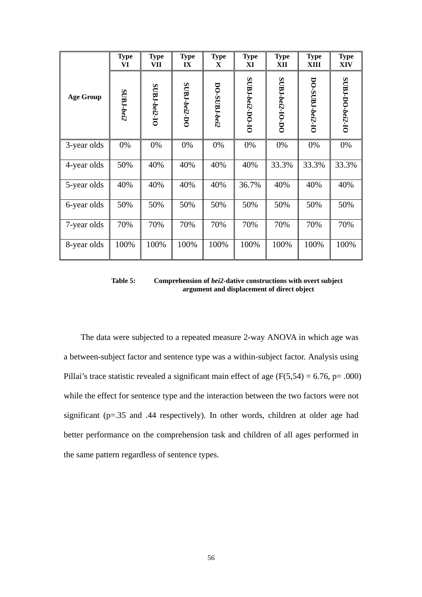|                  | <b>Type</b><br>VI | <b>Type</b><br>VII    | <b>Type</b><br>$\mathbf{IX}$ | <b>Type</b><br>$\mathbf{X}$ | <b>Type</b><br>XI        | <b>Type</b><br>XII | <b>Type</b><br>XIII | <b>Type</b><br><b>XIV</b> |
|------------------|-------------------|-----------------------|------------------------------|-----------------------------|--------------------------|--------------------|---------------------|---------------------------|
| <b>Age Group</b> | SUBJ-bei2         | SUBJ- <i>bei</i> 2-IO | SUBJ- <i>bei</i> 2-DO        | DO-SUBJ-bei2                | SUBJ- <i>bei2</i> -DO-IO | SUBJ-bei2-IO-DO    | DO-SUBJ-bei2-IO     | SUBJ-DO- <i>bei2</i> -IO  |
| 3-year olds      | 0%                | 0%                    | 0%                           | 0%                          | 0%                       | 0%                 | 0%                  | 0%                        |
| 4-year olds      | 50%               | 40%                   | 40%                          | 40%                         | 40%                      | 33.3%              | 33.3%               | 33.3%                     |
| 5-year olds      | 40%               | 40%                   | 40%                          | 40%                         | 36.7%                    | 40%                | 40%                 | 40%                       |
| 6-year olds      | 50%               | 50%                   | 50%                          | 50%                         | 50%                      | 50%                | 50%                 | 50%                       |
| 7-year olds      | 70%               | 70%                   | 70%                          | 70%                         | 70%                      | 70%                | 70%                 | 70%                       |
| 8-year olds      | 100%              | 100%                  | 100%                         | 100%                        | 100%                     | 100%               | 100%                | 100%                      |

**Table 5: Comprehension of** *bei2***-dative constructions with overt subject argument and displacement of direct object** 

The data were subjected to a repeated measure 2-way ANOVA in which age was a between-subject factor and sentence type was a within-subject factor. Analysis using Pillai's trace statistic revealed a significant main effect of age  $(F(5,54) = 6.76, p = .000)$ while the effect for sentence type and the interaction between the two factors were not significant (p=.35 and .44 respectively). In other words, children at older age had better performance on the comprehension task and children of all ages performed in the same pattern regardless of sentence types.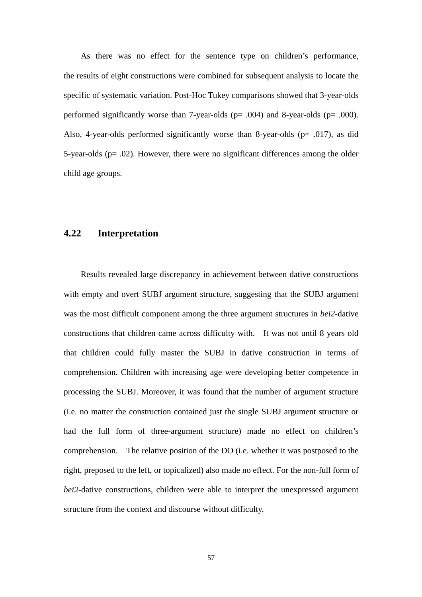As there was no effect for the sentence type on children's performance, the results of eight constructions were combined for subsequent analysis to locate the specific of systematic variation. Post-Hoc Tukey comparisons showed that 3-year-olds performed significantly worse than 7-year-olds (p= .004) and 8-year-olds (p= .000). Also, 4-year-olds performed significantly worse than 8-year-olds (p= .017), as did 5-year-olds ( $p = .02$ ). However, there were no significant differences among the older child age groups.

#### **4.22 Interpretation**

 Results revealed large discrepancy in achievement between dative constructions with empty and overt SUBJ argument structure, suggesting that the SUBJ argument was the most difficult component among the three argument structures in *bei2-*dative constructions that children came across difficulty with. It was not until 8 years old that children could fully master the SUBJ in dative construction in terms of comprehension. Children with increasing age were developing better competence in processing the SUBJ. Moreover, it was found that the number of argument structure (i.e. no matter the construction contained just the single SUBJ argument structure or had the full form of three-argument structure) made no effect on children's comprehension. The relative position of the DO (i.e. whether it was postposed to the right, preposed to the left, or topicalized) also made no effect. For the non-full form of *bei2*-dative constructions, children were able to interpret the unexpressed argument structure from the context and discourse without difficulty.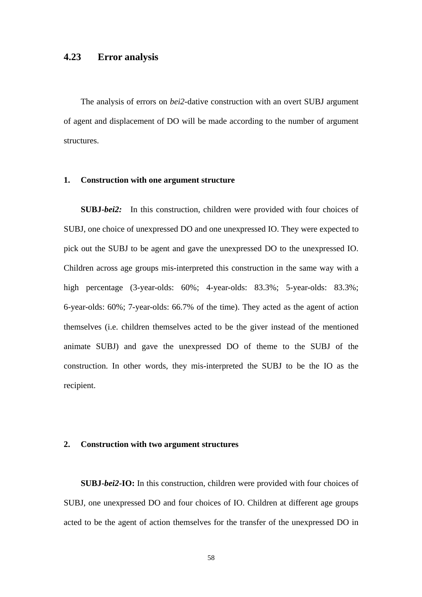#### **4.23 Error analysis**

The analysis of errors on *bei2-*dative construction with an overt SUBJ argument of agent and displacement of DO will be made according to the number of argument structures.

#### **1. Construction with one argument structure**

**SUBJ-***bei2:* In this construction, children were provided with four choices of SUBJ, one choice of unexpressed DO and one unexpressed IO. They were expected to pick out the SUBJ to be agent and gave the unexpressed DO to the unexpressed IO. Children across age groups mis-interpreted this construction in the same way with a high percentage (3-year-olds: 60%; 4-year-olds: 83.3%; 5-year-olds: 83.3%; 6-year-olds: 60%; 7-year-olds: 66.7% of the time). They acted as the agent of action themselves (i.e. children themselves acted to be the giver instead of the mentioned animate SUBJ) and gave the unexpressed DO of theme to the SUBJ of the construction. In other words, they mis-interpreted the SUBJ to be the IO as the recipient.

#### **2. Construction with two argument structures**

**SUBJ-***bei2***-IO:** In this construction, children were provided with four choices of SUBJ, one unexpressed DO and four choices of IO. Children at different age groups acted to be the agent of action themselves for the transfer of the unexpressed DO in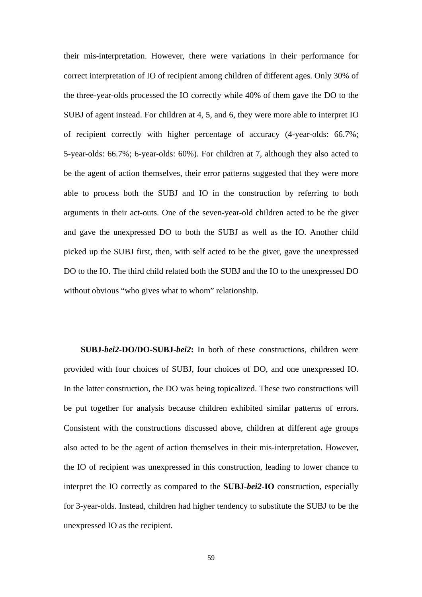their mis-interpretation. However, there were variations in their performance for correct interpretation of IO of recipient among children of different ages. Only 30% of the three-year-olds processed the IO correctly while 40% of them gave the DO to the SUBJ of agent instead. For children at 4, 5, and 6, they were more able to interpret IO of recipient correctly with higher percentage of accuracy (4-year-olds: 66.7%; 5-year-olds: 66.7%; 6-year-olds: 60%). For children at 7, although they also acted to be the agent of action themselves, their error patterns suggested that they were more able to process both the SUBJ and IO in the construction by referring to both arguments in their act-outs. One of the seven-year-old children acted to be the giver and gave the unexpressed DO to both the SUBJ as well as the IO. Another child picked up the SUBJ first, then, with self acted to be the giver, gave the unexpressed DO to the IO. The third child related both the SUBJ and the IO to the unexpressed DO without obvious "who gives what to whom" relationship.

**SUBJ-***bei2***-DO/DO-SUBJ-***bei2***:** In both of these constructions, children were provided with four choices of SUBJ, four choices of DO, and one unexpressed IO. In the latter construction, the DO was being topicalized. These two constructions will be put together for analysis because children exhibited similar patterns of errors. Consistent with the constructions discussed above, children at different age groups also acted to be the agent of action themselves in their mis-interpretation. However, the IO of recipient was unexpressed in this construction, leading to lower chance to interpret the IO correctly as compared to the **SUBJ-***bei2***-IO** construction, especially for 3-year-olds. Instead, children had higher tendency to substitute the SUBJ to be the unexpressed IO as the recipient.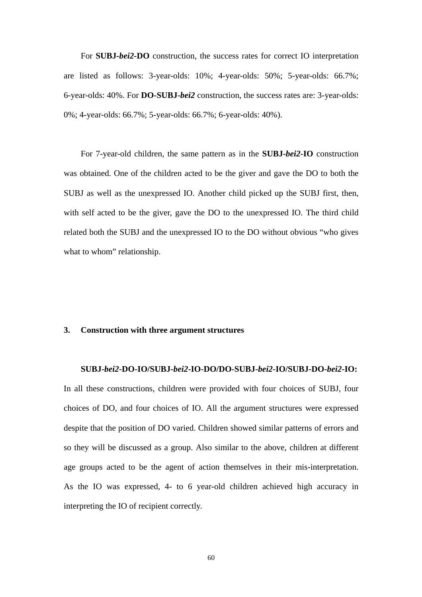For **SUBJ-***bei2***-DO** construction, the success rates for correct IO interpretation are listed as follows: 3-year-olds: 10%; 4-year-olds: 50%; 5-year-olds: 66.7%; 6-year-olds: 40%. For **DO-SUBJ-***bei2* construction, the success rates are: 3-year-olds: 0%; 4-year-olds: 66.7%; 5-year-olds: 66.7%; 6-year-olds: 40%).

For 7-year-old children, the same pattern as in the **SUBJ-***bei2***-IO** construction was obtained. One of the children acted to be the giver and gave the DO to both the SUBJ as well as the unexpressed IO. Another child picked up the SUBJ first, then, with self acted to be the giver, gave the DO to the unexpressed IO. The third child related both the SUBJ and the unexpressed IO to the DO without obvious "who gives what to whom" relationship.

#### **3. Construction with three argument structures**

#### **SUBJ-***bei2***-DO-IO/SUBJ-***bei2***-IO-DO/DO-SUBJ-***bei2***-IO/SUBJ-DO-***bei2***-IO:**

In all these constructions, children were provided with four choices of SUBJ, four choices of DO, and four choices of IO. All the argument structures were expressed despite that the position of DO varied. Children showed similar patterns of errors and so they will be discussed as a group. Also similar to the above, children at different age groups acted to be the agent of action themselves in their mis-interpretation. As the IO was expressed, 4- to 6 year-old children achieved high accuracy in interpreting the IO of recipient correctly.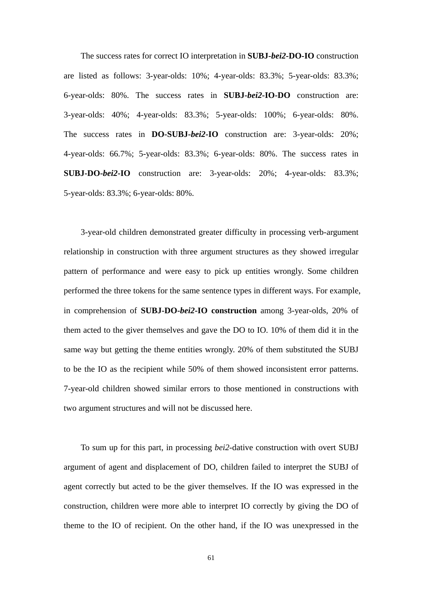The success rates for correct IO interpretation in **SUBJ-***bei2***-DO-IO** construction are listed as follows: 3-year-olds: 10%; 4-year-olds: 83.3%; 5-year-olds: 83.3%; 6-year-olds: 80%. The success rates in **SUBJ-***bei2***-IO-DO** construction are: 3-year-olds: 40%; 4-year-olds: 83.3%; 5-year-olds: 100%; 6-year-olds: 80%. The success rates in **DO-SUBJ-***bei2***-IO** construction are: 3-year-olds: 20%; 4-year-olds: 66.7%; 5-year-olds: 83.3%; 6-year-olds: 80%. The success rates in **SUBJ-DO-***bei2***-IO** construction are: 3-year-olds: 20%; 4-year-olds: 83.3%; 5-year-olds: 83.3%; 6-year-olds: 80%.

3-year-old children demonstrated greater difficulty in processing verb-argument relationship in construction with three argument structures as they showed irregular pattern of performance and were easy to pick up entities wrongly. Some children performed the three tokens for the same sentence types in different ways. For example, in comprehension of **SUBJ-DO-***bei2***-IO construction** among 3-year-olds, 20% of them acted to the giver themselves and gave the DO to IO. 10% of them did it in the same way but getting the theme entities wrongly. 20% of them substituted the SUBJ to be the IO as the recipient while 50% of them showed inconsistent error patterns. 7-year-old children showed similar errors to those mentioned in constructions with two argument structures and will not be discussed here.

To sum up for this part, in processing *bei2-*dative construction with overt SUBJ argument of agent and displacement of DO, children failed to interpret the SUBJ of agent correctly but acted to be the giver themselves. If the IO was expressed in the construction, children were more able to interpret IO correctly by giving the DO of theme to the IO of recipient. On the other hand, if the IO was unexpressed in the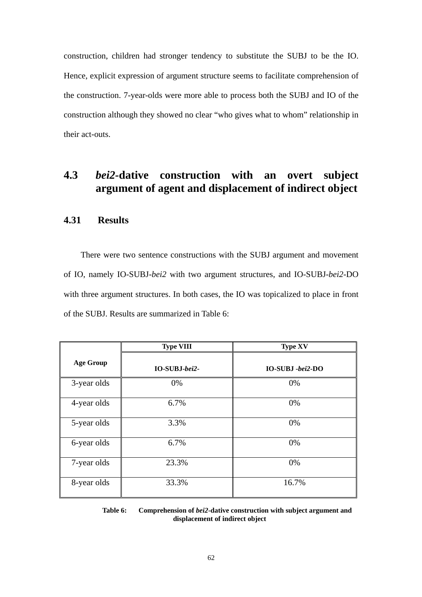construction, children had stronger tendency to substitute the SUBJ to be the IO. Hence, explicit expression of argument structure seems to facilitate comprehension of the construction. 7-year-olds were more able to process both the SUBJ and IO of the construction although they showed no clear "who gives what to whom" relationship in their act-outs.

## **4.3** *bei2-***dative construction with an overt subject argument of agent and displacement of indirect object**

#### **4.31 Results**

There were two sentence constructions with the SUBJ argument and movement of IO, namely IO-SUBJ-*bei2* with two argument structures, and IO-SUBJ-*bei2*-DO with three argument structures. In both cases, the IO was topicalized to place in front of the SUBJ. Results are summarized in Table 6:

|                  | <b>Type VIII</b> | <b>Type XV</b>   |  |  |
|------------------|------------------|------------------|--|--|
| <b>Age Group</b> | IO-SUBJ-bei2-    | IO-SUBJ -bei2-DO |  |  |
| 3-year olds      | 0%               | 0%               |  |  |
| 4-year olds      | 6.7%             | 0%               |  |  |
| 5-year olds      | 3.3%             | 0%               |  |  |
| 6-year olds      | 6.7%             | 0%               |  |  |
| 7-year olds      | 23.3%            | 0%               |  |  |
| 8-year olds      | 33.3%            | 16.7%            |  |  |

**Table 6: Comprehension of** *bei2***-dative construction with subject argument and displacement of indirect object**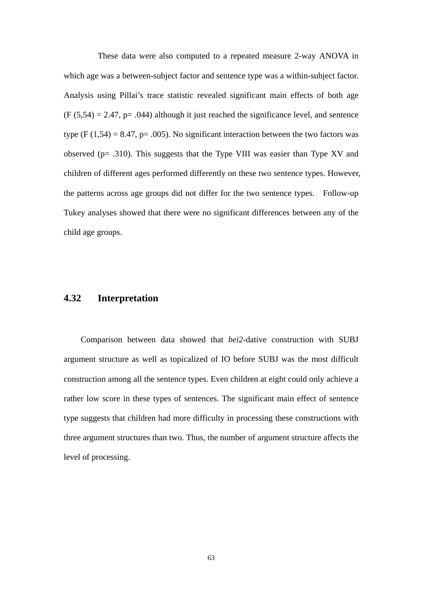These data were also computed to a repeated measure 2-way ANOVA in which age was a between-subject factor and sentence type was a within-subject factor. Analysis using Pillai's trace statistic revealed significant main effects of both age  $(F (5,54) = 2.47, p = .044)$  although it just reached the significance level, and sentence type  $(F (1, 54) = 8.47, p = .005)$ . No significant interaction between the two factors was observed (p= .310). This suggests that the Type VIII was easier than Type XV and children of different ages performed differently on these two sentence types. However, the patterns across age groups did not differ for the two sentence types. Follow-up Tukey analyses showed that there were no significant differences between any of the child age groups.

#### **4.32 Interpretation**

Comparison between data showed that *bei2*-dative construction with SUBJ argument structure as well as topicalized of IO before SUBJ was the most difficult construction among all the sentence types. Even children at eight could only achieve a rather low score in these types of sentences. The significant main effect of sentence type suggests that children had more difficulty in processing these constructions with three argument structures than two. Thus, the number of argument structure affects the level of processing.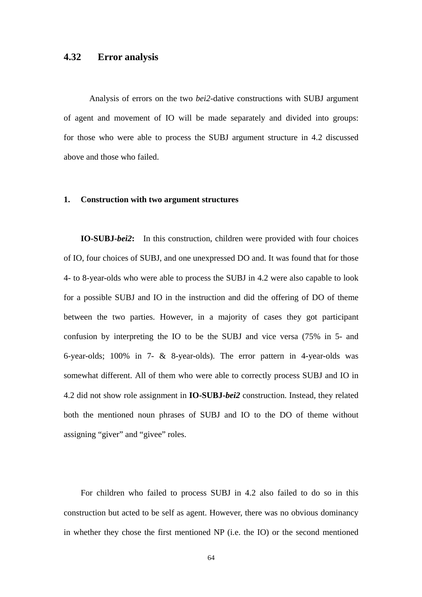#### **4.32 Error analysis**

 Analysis of errors on the two *bei2-*dative constructions with SUBJ argument of agent and movement of IO will be made separately and divided into groups: for those who were able to process the SUBJ argument structure in 4.2 discussed above and those who failed.

#### **1. Construction with two argument structures**

**IO-SUBJ-***bei2***:** In this construction, children were provided with four choices of IO, four choices of SUBJ, and one unexpressed DO and. It was found that for those 4- to 8-year-olds who were able to process the SUBJ in 4.2 were also capable to look for a possible SUBJ and IO in the instruction and did the offering of DO of theme between the two parties. However, in a majority of cases they got participant confusion by interpreting the IO to be the SUBJ and vice versa (75% in 5- and 6-year-olds; 100% in 7- & 8-year-olds). The error pattern in 4-year-olds was somewhat different. All of them who were able to correctly process SUBJ and IO in 4.2 did not show role assignment in **IO-SUBJ-***bei2* construction. Instead, they related both the mentioned noun phrases of SUBJ and IO to the DO of theme without assigning "giver" and "givee" roles.

For children who failed to process SUBJ in 4.2 also failed to do so in this construction but acted to be self as agent. However, there was no obvious dominancy in whether they chose the first mentioned NP (i.e. the IO) or the second mentioned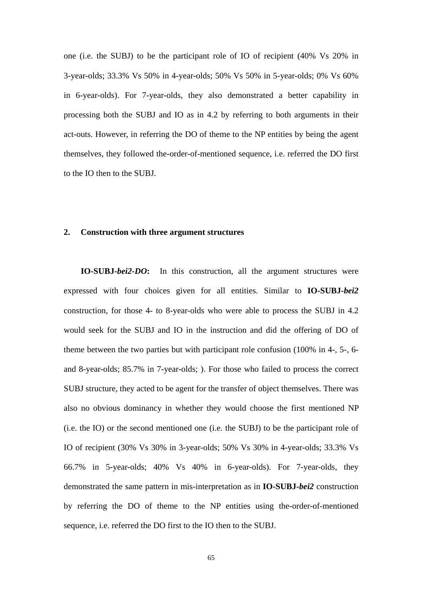one (i.e. the SUBJ) to be the participant role of IO of recipient (40% Vs 20% in 3-year-olds; 33.3% Vs 50% in 4-year-olds; 50% Vs 50% in 5-year-olds; 0% Vs 60% in 6-year-olds). For 7-year-olds, they also demonstrated a better capability in processing both the SUBJ and IO as in 4.2 by referring to both arguments in their act-outs. However, in referring the DO of theme to the NP entities by being the agent themselves, they followed the-order-of-mentioned sequence, i.e. referred the DO first to the IO then to the SUBJ.

#### **2. Construction with three argument structures**

**IO-SUBJ-***bei2-DO***:** In this construction, all the argument structures were expressed with four choices given for all entities. Similar to **IO-SUBJ-***bei2*  construction, for those 4- to 8-year-olds who were able to process the SUBJ in 4.2 would seek for the SUBJ and IO in the instruction and did the offering of DO of theme between the two parties but with participant role confusion (100% in 4-, 5-, 6 and 8-year-olds; 85.7% in 7-year-olds; ). For those who failed to process the correct SUBJ structure, they acted to be agent for the transfer of object themselves. There was also no obvious dominancy in whether they would choose the first mentioned NP (i.e. the IO) or the second mentioned one (i.e. the SUBJ) to be the participant role of IO of recipient (30% Vs 30% in 3-year-olds; 50% Vs 30% in 4-year-olds; 33.3% Vs 66.7% in 5-year-olds; 40% Vs 40% in 6-year-olds). For 7-year-olds, they demonstrated the same pattern in mis-interpretation as in **IO-SUBJ-***bei2* construction by referring the DO of theme to the NP entities using the-order-of-mentioned sequence, i.e. referred the DO first to the IO then to the SUBJ.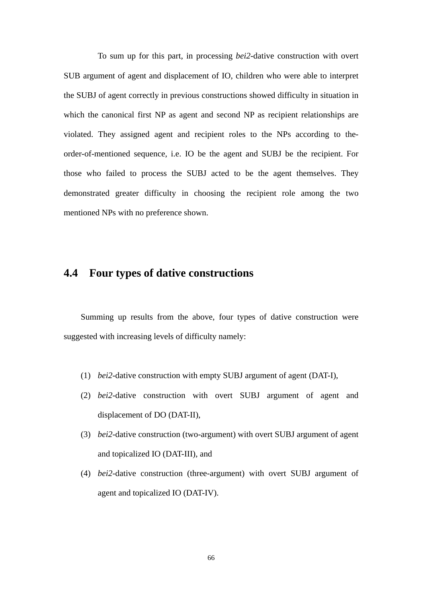To sum up for this part, in processing *bei2-*dative construction with overt SUB argument of agent and displacement of IO, children who were able to interpret the SUBJ of agent correctly in previous constructions showed difficulty in situation in which the canonical first NP as agent and second NP as recipient relationships are violated. They assigned agent and recipient roles to the NPs according to theorder-of-mentioned sequence, i.e. IO be the agent and SUBJ be the recipient. For those who failed to process the SUBJ acted to be the agent themselves. They demonstrated greater difficulty in choosing the recipient role among the two mentioned NPs with no preference shown.

## **4.4 Four types of dative constructions**

Summing up results from the above, four types of dative construction were suggested with increasing levels of difficulty namely:

- (1) *bei2-*dative construction with empty SUBJ argument of agent (DAT-I),
- (2) *bei2-*dative construction with overt SUBJ argument of agent and displacement of DO (DAT-II),
- (3) *bei2-*dative construction (two-argument) with overt SUBJ argument of agent and topicalized IO (DAT-III), and
- (4) *bei2-*dative construction (three-argument) with overt SUBJ argument of agent and topicalized IO (DAT-IV).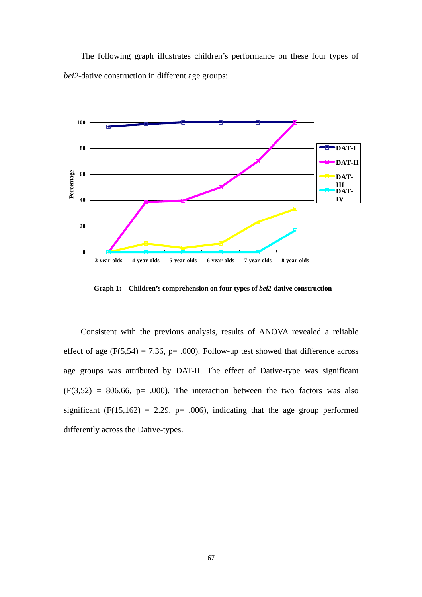The following graph illustrates children's performance on these four types of *bei2-*dative construction in different age groups:



 **Graph 1: Children's comprehension on four types of** *bei2***-dative construction** 

Consistent with the previous analysis, results of ANOVA revealed a reliable effect of age  $(F(5,54) = 7.36, p = .000)$ . Follow-up test showed that difference across age groups was attributed by DAT-II. The effect of Dative-type was significant  $(F(3,52) = 806.66, p = .000)$ . The interaction between the two factors was also significant  $(F(15,162) = 2.29, p = .006)$ , indicating that the age group performed differently across the Dative-types.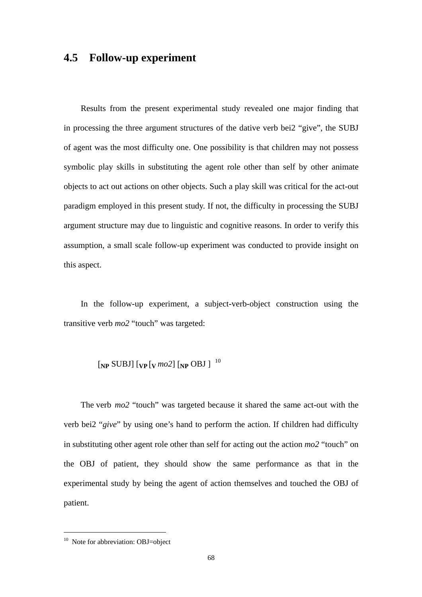## **4.5 Follow-up experiment**

 Results from the present experimental study revealed one major finding that in processing the three argument structures of the dative verb bei2 "give", the SUBJ of agent was the most difficulty one. One possibility is that children may not possess symbolic play skills in substituting the agent role other than self by other animate objects to act out actions on other objects. Such a play skill was critical for the act-out paradigm employed in this present study. If not, the difficulty in processing the SUBJ argument structure may due to linguistic and cognitive reasons. In order to verify this assumption, a small scale follow-up experiment was conducted to provide insight on this aspect.

 In the follow-up experiment, a subject-verb-object construction using the transitive verb *mo2* "touch" was targeted:

$$
[NP \text{ SUBJ}] [VP [V \text{ } m o 2] [NP \text{ } OBJ]^{-10}
$$

 The verb *mo2* "touch" was targeted because it shared the same act-out with the verb bei2 "*give*" by using one's hand to perform the action. If children had difficulty in substituting other agent role other than self for acting out the action *mo2* "touch" on the OBJ of patient, they should show the same performance as that in the experimental study by being the agent of action themselves and touched the OBJ of patient.

 $\overline{a}$ 

<sup>&</sup>lt;sup>10</sup> Note for abbreviation: OBJ=object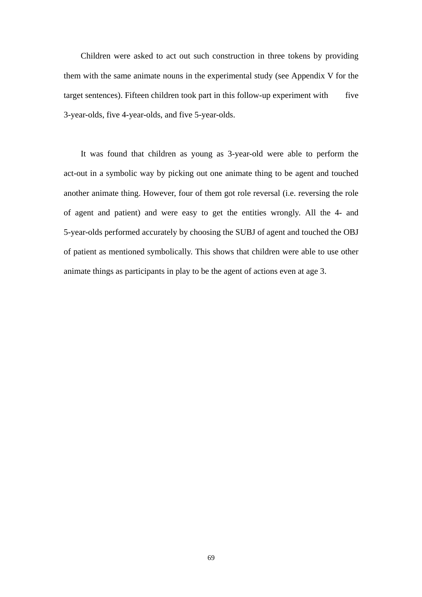Children were asked to act out such construction in three tokens by providing them with the same animate nouns in the experimental study (see Appendix V for the target sentences). Fifteen children took part in this follow-up experiment with five 3-year-olds, five 4-year-olds, and five 5-year-olds.

 It was found that children as young as 3-year-old were able to perform the act-out in a symbolic way by picking out one animate thing to be agent and touched another animate thing. However, four of them got role reversal (i.e. reversing the role of agent and patient) and were easy to get the entities wrongly. All the 4- and 5-year-olds performed accurately by choosing the SUBJ of agent and touched the OBJ of patient as mentioned symbolically. This shows that children were able to use other animate things as participants in play to be the agent of actions even at age 3.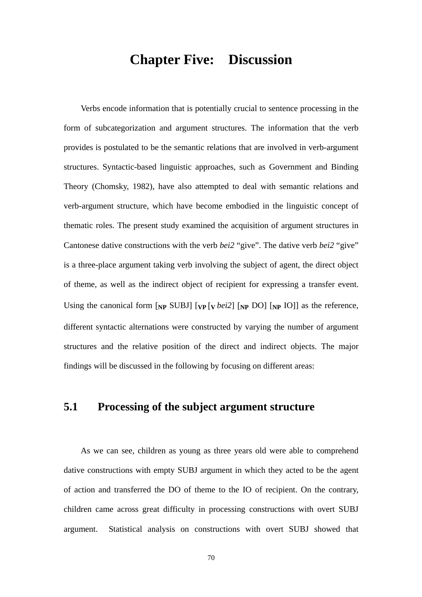# **Chapter Five: Discussion**

Verbs encode information that is potentially crucial to sentence processing in the form of subcategorization and argument structures. The information that the verb provides is postulated to be the semantic relations that are involved in verb-argument structures. Syntactic-based linguistic approaches, such as Government and Binding Theory (Chomsky, 1982), have also attempted to deal with semantic relations and verb-argument structure, which have become embodied in the linguistic concept of thematic roles. The present study examined the acquisition of argument structures in Cantonese dative constructions with the verb *bei2* "give". The dative verb *bei2* "give" is a three-place argument taking verb involving the subject of agent, the direct object of theme, as well as the indirect object of recipient for expressing a transfer event. Using the canonical form  $\begin{bmatrix} N_P & \text{SUBJ} \end{bmatrix}$   $\begin{bmatrix} V_P & \text{bei2} \end{bmatrix}$   $\begin{bmatrix} N_P & \text{DO} \end{bmatrix}$   $\begin{bmatrix} N_P & \text{IO} \end{bmatrix}$  as the reference, different syntactic alternations were constructed by varying the number of argument structures and the relative position of the direct and indirect objects. The major findings will be discussed in the following by focusing on different areas:

## **5.1 Processing of the subject argument structure**

 As we can see, children as young as three years old were able to comprehend dative constructions with empty SUBJ argument in which they acted to be the agent of action and transferred the DO of theme to the IO of recipient. On the contrary, children came across great difficulty in processing constructions with overt SUBJ argument. Statistical analysis on constructions with overt SUBJ showed that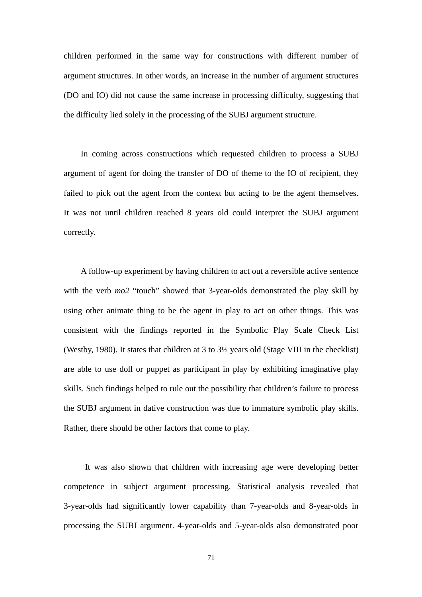children performed in the same way for constructions with different number of argument structures. In other words, an increase in the number of argument structures (DO and IO) did not cause the same increase in processing difficulty, suggesting that the difficulty lied solely in the processing of the SUBJ argument structure.

In coming across constructions which requested children to process a SUBJ argument of agent for doing the transfer of DO of theme to the IO of recipient, they failed to pick out the agent from the context but acting to be the agent themselves. It was not until children reached 8 years old could interpret the SUBJ argument correctly.

A follow-up experiment by having children to act out a reversible active sentence with the verb  $mo2$  "touch" showed that 3-year-olds demonstrated the play skill by using other animate thing to be the agent in play to act on other things. This was consistent with the findings reported in the Symbolic Play Scale Check List (Westby, 1980). It states that children at 3 to 3½ years old (Stage VIII in the checklist) are able to use doll or puppet as participant in play by exhibiting imaginative play skills. Such findings helped to rule out the possibility that children's failure to process the SUBJ argument in dative construction was due to immature symbolic play skills. Rather, there should be other factors that come to play.

 It was also shown that children with increasing age were developing better competence in subject argument processing. Statistical analysis revealed that 3-year-olds had significantly lower capability than 7-year-olds and 8-year-olds in processing the SUBJ argument. 4-year-olds and 5-year-olds also demonstrated poor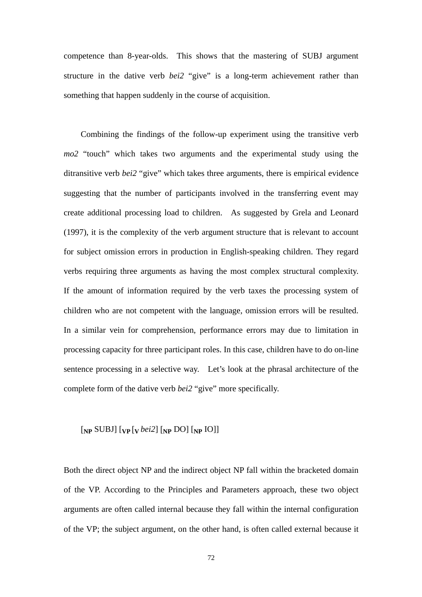competence than 8-year-olds. This shows that the mastering of SUBJ argument structure in the dative verb *bei2* "give" is a long-term achievement rather than something that happen suddenly in the course of acquisition.

Combining the findings of the follow-up experiment using the transitive verb *mo2* "touch" which takes two arguments and the experimental study using the ditransitive verb *bei2* "give" which takes three arguments, there is empirical evidence suggesting that the number of participants involved in the transferring event may create additional processing load to children. As suggested by Grela and Leonard (1997), it is the complexity of the verb argument structure that is relevant to account for subject omission errors in production in English-speaking children. They regard verbs requiring three arguments as having the most complex structural complexity. If the amount of information required by the verb taxes the processing system of children who are not competent with the language, omission errors will be resulted. In a similar vein for comprehension, performance errors may due to limitation in processing capacity for three participant roles. In this case, children have to do on-line sentence processing in a selective way. Let's look at the phrasal architecture of the complete form of the dative verb *bei2* "give" more specifically.

#### $\begin{bmatrix} \n\text{NP} \text{SUBJ} \n\end{bmatrix} \n\begin{bmatrix} \n\text{VP} \n\end{bmatrix} \n\begin{bmatrix} \n\text{VP} \n\end{bmatrix} \n\begin{bmatrix} \n\text{NP} \text{DO} \n\end{bmatrix} \n\begin{bmatrix} \n\text{NP} \text{IO} \n\end{bmatrix}$

Both the direct object NP and the indirect object NP fall within the bracketed domain of the VP. According to the Principles and Parameters approach, these two object arguments are often called internal because they fall within the internal configuration of the VP; the subject argument, on the other hand, is often called external because it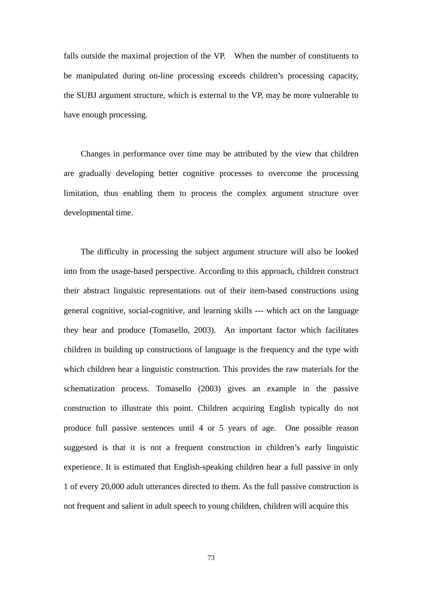falls outside the maximal projection of the VP. When the number of constituents to be manipulated during on-line processing exceeds children's processing capacity, the SUBJ argument structure, which is external to the VP, may be more vulnerable to have enough processing.

Changes in performance over time may be attributed by the view that children are gradually developing better cognitive processes to overcome the processing limitation, thus enabling them to process the complex argument structure over developmental time.

 The difficulty in processing the subject argument structure will also be looked into from the usage-based perspective. According to this approach, children construct their abstract linguistic representations out of their item-based constructions using general cognitive, social-cognitive, and learning skills --- which act on the language they hear and produce (Tomasello, 2003). An important factor which facilitates children in building up constructions of language is the frequency and the type with which children hear a linguistic construction. This provides the raw materials for the schematization process. Tomasello (2003) gives an example in the passive construction to illustrate this point. Children acquiring English typically do not produce full passive sentences until 4 or 5 years of age. One possible reason suggested is that it is not a frequent construction in children's early linguistic experience. It is estimated that English-speaking children hear a full passive in only 1 of every 20,000 adult utterances directed to them. As the full passive construction is not frequent and salient in adult speech to young children, children will acquire this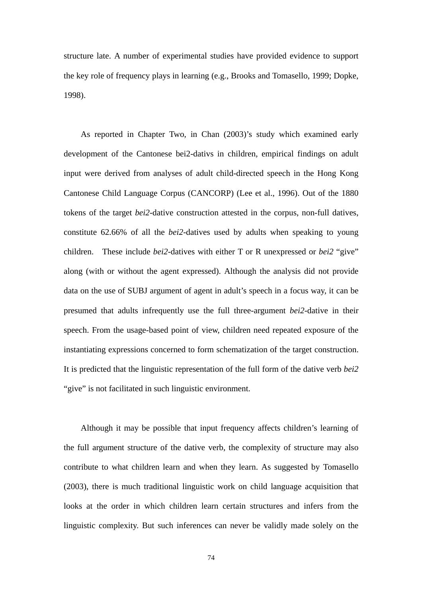structure late. A number of experimental studies have provided evidence to support the key role of frequency plays in learning (e.g., Brooks and Tomasello, 1999; Dopke, 1998).

 As reported in Chapter Two, in Chan (2003)'s study which examined early development of the Cantonese bei2-dativs in children, empirical findings on adult input were derived from analyses of adult child-directed speech in the Hong Kong Cantonese Child Language Corpus (CANCORP) (Lee et al., 1996). Out of the 1880 tokens of the target *bei2*-dative construction attested in the corpus, non-full datives, constitute 62.66% of all the *bei2*-datives used by adults when speaking to young children. These include *bei2*-datives with either T or R unexpressed or *bei2* "give" along (with or without the agent expressed). Although the analysis did not provide data on the use of SUBJ argument of agent in adult's speech in a focus way, it can be presumed that adults infrequently use the full three-argument *bei2*-dative in their speech. From the usage-based point of view, children need repeated exposure of the instantiating expressions concerned to form schematization of the target construction. It is predicted that the linguistic representation of the full form of the dative verb *bei2* "give" is not facilitated in such linguistic environment.

 Although it may be possible that input frequency affects children's learning of the full argument structure of the dative verb, the complexity of structure may also contribute to what children learn and when they learn. As suggested by Tomasello (2003), there is much traditional linguistic work on child language acquisition that looks at the order in which children learn certain structures and infers from the linguistic complexity. But such inferences can never be validly made solely on the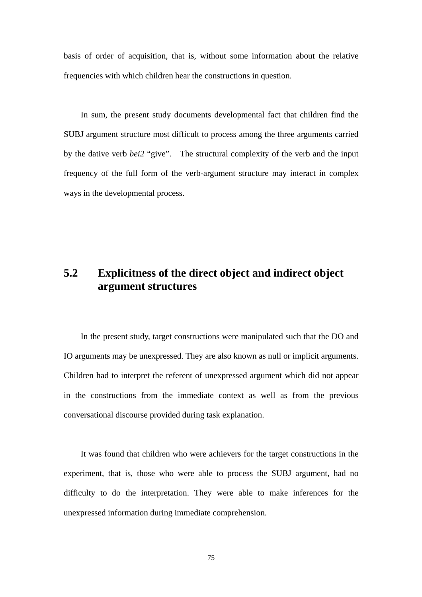basis of order of acquisition, that is, without some information about the relative frequencies with which children hear the constructions in question.

In sum, the present study documents developmental fact that children find the SUBJ argument structure most difficult to process among the three arguments carried by the dative verb *bei2* "give". The structural complexity of the verb and the input frequency of the full form of the verb-argument structure may interact in complex ways in the developmental process.

#### **5.2 Explicitness of the direct object and indirect object argument structures**

 In the present study, target constructions were manipulated such that the DO and IO arguments may be unexpressed. They are also known as null or implicit arguments. Children had to interpret the referent of unexpressed argument which did not appear in the constructions from the immediate context as well as from the previous conversational discourse provided during task explanation.

 It was found that children who were achievers for the target constructions in the experiment, that is, those who were able to process the SUBJ argument, had no difficulty to do the interpretation. They were able to make inferences for the unexpressed information during immediate comprehension.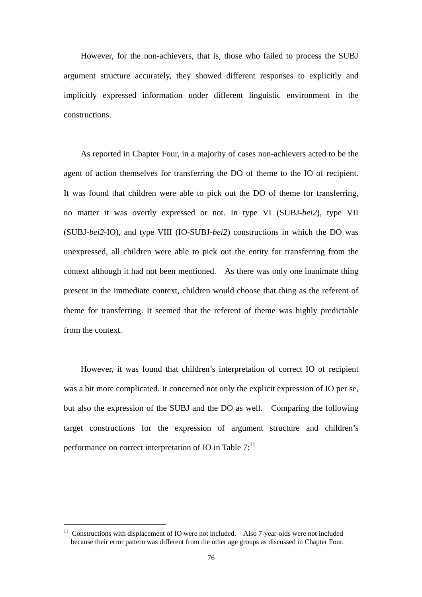However, for the non-achievers, that is, those who failed to process the SUBJ argument structure accurately, they showed different responses to explicitly and implicitly expressed information under different linguistic environment in the constructions.

 As reported in Chapter Four, in a majority of cases non-achievers acted to be the agent of action themselves for transferring the DO of theme to the IO of recipient. It was found that children were able to pick out the DO of theme for transferring, no matter it was overtly expressed or not. In type VI (SUBJ-*bei2*), type VII (SUBJ-*bei2*-IO), and type VIII (IO-SUBJ-*bei2*) constructions in which the DO was unexpressed, all children were able to pick out the entity for transferring from the context although it had not been mentioned. As there was only one inanimate thing present in the immediate context, children would choose that thing as the referent of theme for transferring. It seemed that the referent of theme was highly predictable from the context.

 However, it was found that children's interpretation of correct IO of recipient was a bit more complicated. It concerned not only the explicit expression of IO per se, but also the expression of the SUBJ and the DO as well. Comparing the following target constructions for the expression of argument structure and children's performance on correct interpretation of IO in Table  $7$ :<sup>11</sup>

 $\overline{a}$ 

 $11$  Constructions with displacement of IO were not included. Also 7-year-olds were not included because their error pattern was different from the other age groups as discussed in Chapter Four.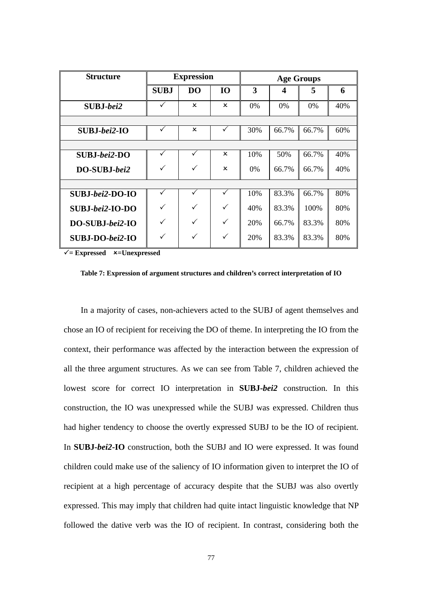| <b>Structure</b>                       | <b>Expression</b> |              | <b>Age Groups</b> |       |                  |       |     |
|----------------------------------------|-------------------|--------------|-------------------|-------|------------------|-------|-----|
|                                        | <b>SUBJ</b>       | <b>DO</b>    | <b>IO</b>         | 3     | $\boldsymbol{4}$ | 5     | 6   |
| SUBJ-bei2                              | ✓                 | $\mathbf x$  | $\mathbf x$       | $0\%$ | 0%               | $0\%$ | 40% |
|                                        |                   |              |                   |       |                  |       |     |
| $SUBJ\text{-}bei2-IO$                  | ✓                 | $\mathbf x$  | ✓                 | 30%   | 66.7%            | 66.7% | 60% |
|                                        |                   |              |                   |       |                  |       |     |
| SUBJ-bei2-DO                           |                   | ✓            | $\mathbf x$       | 10%   | 50%              | 66.7% | 40% |
| DO-SUBJ-bei2                           | $\checkmark$      | $\checkmark$ | $\mathbf x$       | $0\%$ | 66.7%            | 66.7% | 40% |
|                                        |                   |              |                   |       |                  |       |     |
| $SUBJ\text{-}bei2\text{-}DO\text{-}IO$ |                   |              |                   | 10%   | 83.3%            | 66.7% | 80% |
| SUBJ-bei2-IO-DO                        |                   |              | ✓                 | 40%   | 83.3%            | 100\% | 80% |
| DO-SUBJ-bei2-IO                        |                   | ✓            | ✓                 | 20%   | 66.7%            | 83.3% | 80% |
| SUBJ-DO-bei2-IO                        |                   |              | ✓                 | 20%   | 83.3%            | 83.3% | 80% |

 $\checkmark$  = Expressed  $\checkmark$  = Unexpressed

**Table 7: Expression of argument structures and children's correct interpretation of IO** 

 In a majority of cases, non-achievers acted to the SUBJ of agent themselves and chose an IO of recipient for receiving the DO of theme. In interpreting the IO from the context, their performance was affected by the interaction between the expression of all the three argument structures. As we can see from Table 7, children achieved the lowest score for correct IO interpretation in **SUBJ-***bei2* construction. In this construction, the IO was unexpressed while the SUBJ was expressed. Children thus had higher tendency to choose the overtly expressed SUBJ to be the IO of recipient. In **SUBJ-***bei2***-IO** construction, both the SUBJ and IO were expressed. It was found children could make use of the saliency of IO information given to interpret the IO of recipient at a high percentage of accuracy despite that the SUBJ was also overtly expressed. This may imply that children had quite intact linguistic knowledge that NP followed the dative verb was the IO of recipient. In contrast, considering both the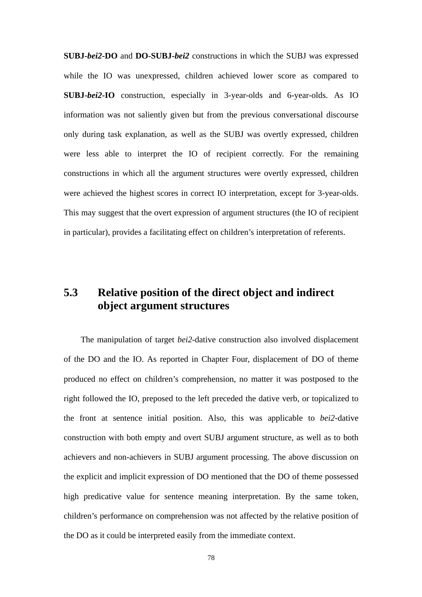**SUBJ-***bei2***-DO** and **DO-SUBJ-***bei2* constructions in which the SUBJ was expressed while the IO was unexpressed, children achieved lower score as compared to **SUBJ-***bei2***-IO** construction, especially in 3-year-olds and 6-year-olds. As IO information was not saliently given but from the previous conversational discourse only during task explanation, as well as the SUBJ was overtly expressed, children were less able to interpret the IO of recipient correctly. For the remaining constructions in which all the argument structures were overtly expressed, children were achieved the highest scores in correct IO interpretation, except for 3-year-olds. This may suggest that the overt expression of argument structures (the IO of recipient in particular), provides a facilitating effect on children's interpretation of referents.

#### **5.3 Relative position of the direct object and indirect object argument structures**

 The manipulation of target *bei2*-dative construction also involved displacement of the DO and the IO. As reported in Chapter Four, displacement of DO of theme produced no effect on children's comprehension, no matter it was postposed to the right followed the IO, preposed to the left preceded the dative verb, or topicalized to the front at sentence initial position. Also, this was applicable to *bei2*-dative construction with both empty and overt SUBJ argument structure, as well as to both achievers and non-achievers in SUBJ argument processing. The above discussion on the explicit and implicit expression of DO mentioned that the DO of theme possessed high predicative value for sentence meaning interpretation. By the same token, children's performance on comprehension was not affected by the relative position of the DO as it could be interpreted easily from the immediate context.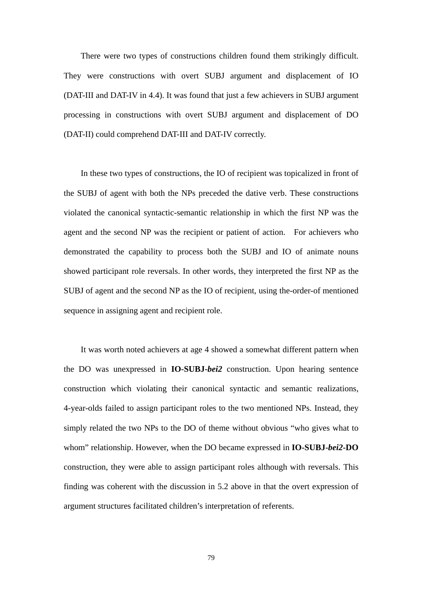There were two types of constructions children found them strikingly difficult. They were constructions with overt SUBJ argument and displacement of IO (DAT-III and DAT-IV in 4.4). It was found that just a few achievers in SUBJ argument processing in constructions with overt SUBJ argument and displacement of DO (DAT-II) could comprehend DAT-III and DAT-IV correctly.

 In these two types of constructions, the IO of recipient was topicalized in front of the SUBJ of agent with both the NPs preceded the dative verb. These constructions violated the canonical syntactic-semantic relationship in which the first NP was the agent and the second NP was the recipient or patient of action. For achievers who demonstrated the capability to process both the SUBJ and IO of animate nouns showed participant role reversals. In other words, they interpreted the first NP as the SUBJ of agent and the second NP as the IO of recipient, using the-order-of mentioned sequence in assigning agent and recipient role.

It was worth noted achievers at age 4 showed a somewhat different pattern when the DO was unexpressed in **IO-SUBJ-***bei2* construction. Upon hearing sentence construction which violating their canonical syntactic and semantic realizations, 4-year-olds failed to assign participant roles to the two mentioned NPs. Instead, they simply related the two NPs to the DO of theme without obvious "who gives what to whom" relationship. However, when the DO became expressed in **IO-SUBJ-***bei2***-DO** construction, they were able to assign participant roles although with reversals. This finding was coherent with the discussion in 5.2 above in that the overt expression of argument structures facilitated children's interpretation of referents.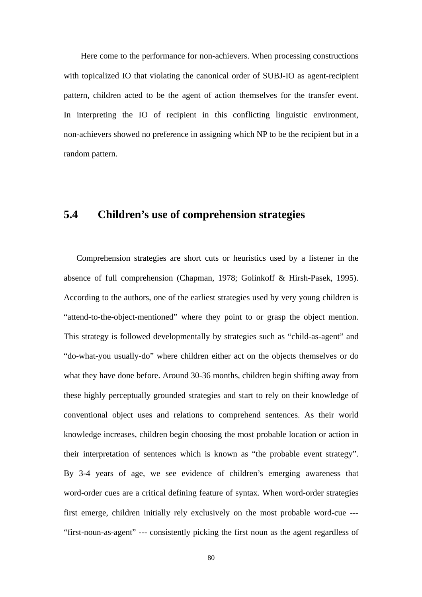Here come to the performance for non-achievers. When processing constructions with topicalized IO that violating the canonical order of SUBJ-IO as agent-recipient pattern, children acted to be the agent of action themselves for the transfer event. In interpreting the IO of recipient in this conflicting linguistic environment, non-achievers showed no preference in assigning which NP to be the recipient but in a random pattern.

#### **5.4 Children's use of comprehension strategies**

Comprehension strategies are short cuts or heuristics used by a listener in the absence of full comprehension (Chapman, 1978; Golinkoff & Hirsh-Pasek, 1995). According to the authors, one of the earliest strategies used by very young children is "attend-to-the-object-mentioned" where they point to or grasp the object mention. This strategy is followed developmentally by strategies such as "child-as-agent" and "do-what-you usually-do" where children either act on the objects themselves or do what they have done before. Around 30-36 months, children begin shifting away from these highly perceptually grounded strategies and start to rely on their knowledge of conventional object uses and relations to comprehend sentences. As their world knowledge increases, children begin choosing the most probable location or action in their interpretation of sentences which is known as "the probable event strategy". By 3-4 years of age, we see evidence of children's emerging awareness that word-order cues are a critical defining feature of syntax. When word-order strategies first emerge, children initially rely exclusively on the most probable word-cue --- "first-noun-as-agent" --- consistently picking the first noun as the agent regardless of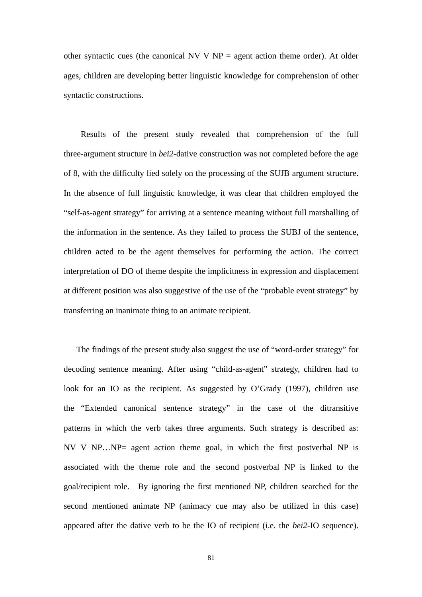other syntactic cues (the canonical NV V  $NP =$  agent action theme order). At older ages, children are developing better linguistic knowledge for comprehension of other syntactic constructions.

 Results of the present study revealed that comprehension of the full three-argument structure in *bei2*-dative construction was not completed before the age of 8, with the difficulty lied solely on the processing of the SUJB argument structure. In the absence of full linguistic knowledge, it was clear that children employed the "self-as-agent strategy" for arriving at a sentence meaning without full marshalling of the information in the sentence. As they failed to process the SUBJ of the sentence, children acted to be the agent themselves for performing the action. The correct interpretation of DO of theme despite the implicitness in expression and displacement at different position was also suggestive of the use of the "probable event strategy" by transferring an inanimate thing to an animate recipient.

The findings of the present study also suggest the use of "word-order strategy" for decoding sentence meaning. After using "child-as-agent" strategy, children had to look for an IO as the recipient. As suggested by O'Grady (1997), children use the "Extended canonical sentence strategy" in the case of the ditransitive patterns in which the verb takes three arguments. Such strategy is described as: NV V NP…NP= agent action theme goal, in which the first postverbal NP is associated with the theme role and the second postverbal NP is linked to the goal/recipient role. By ignoring the first mentioned NP, children searched for the second mentioned animate NP (animacy cue may also be utilized in this case) appeared after the dative verb to be the IO of recipient (i.e. the *bei2*-IO sequence).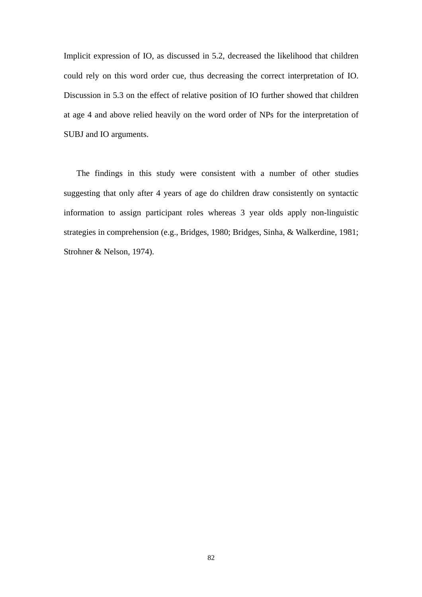Implicit expression of IO, as discussed in 5.2, decreased the likelihood that children could rely on this word order cue, thus decreasing the correct interpretation of IO. Discussion in 5.3 on the effect of relative position of IO further showed that children at age 4 and above relied heavily on the word order of NPs for the interpretation of SUBJ and IO arguments.

The findings in this study were consistent with a number of other studies suggesting that only after 4 years of age do children draw consistently on syntactic information to assign participant roles whereas 3 year olds apply non-linguistic strategies in comprehension (e.g., Bridges, 1980; Bridges, Sinha, & Walkerdine, 1981; Strohner & Nelson, 1974).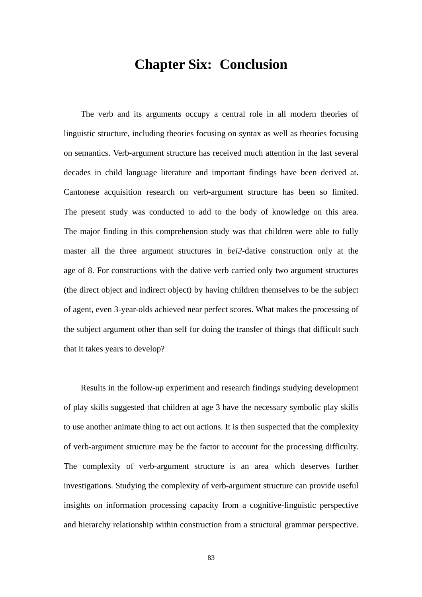#### **Chapter Six: Conclusion**

The verb and its arguments occupy a central role in all modern theories of linguistic structure, including theories focusing on syntax as well as theories focusing on semantics. Verb-argument structure has received much attention in the last several decades in child language literature and important findings have been derived at. Cantonese acquisition research on verb-argument structure has been so limited. The present study was conducted to add to the body of knowledge on this area. The major finding in this comprehension study was that children were able to fully master all the three argument structures in *bei2*-dative construction only at the age of 8. For constructions with the dative verb carried only two argument structures (the direct object and indirect object) by having children themselves to be the subject of agent, even 3-year-olds achieved near perfect scores. What makes the processing of the subject argument other than self for doing the transfer of things that difficult such that it takes years to develop?

Results in the follow-up experiment and research findings studying development of play skills suggested that children at age 3 have the necessary symbolic play skills to use another animate thing to act out actions. It is then suspected that the complexity of verb-argument structure may be the factor to account for the processing difficulty. The complexity of verb-argument structure is an area which deserves further investigations. Studying the complexity of verb-argument structure can provide useful insights on information processing capacity from a cognitive-linguistic perspective and hierarchy relationship within construction from a structural grammar perspective.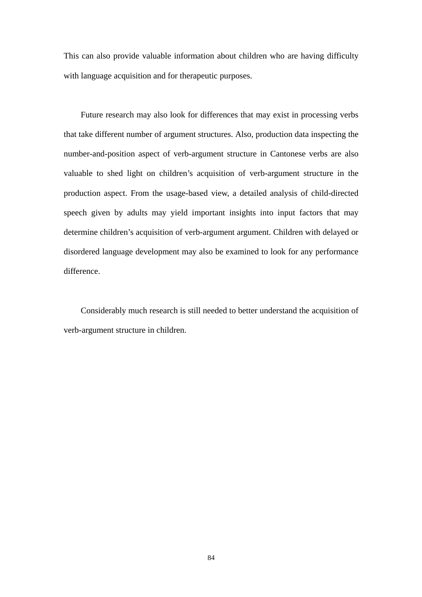This can also provide valuable information about children who are having difficulty with language acquisition and for therapeutic purposes.

Future research may also look for differences that may exist in processing verbs that take different number of argument structures. Also, production data inspecting the number-and-position aspect of verb-argument structure in Cantonese verbs are also valuable to shed light on children's acquisition of verb-argument structure in the production aspect. From the usage-based view, a detailed analysis of child-directed speech given by adults may yield important insights into input factors that may determine children's acquisition of verb-argument argument. Children with delayed or disordered language development may also be examined to look for any performance difference.

Considerably much research is still needed to better understand the acquisition of verb-argument structure in children.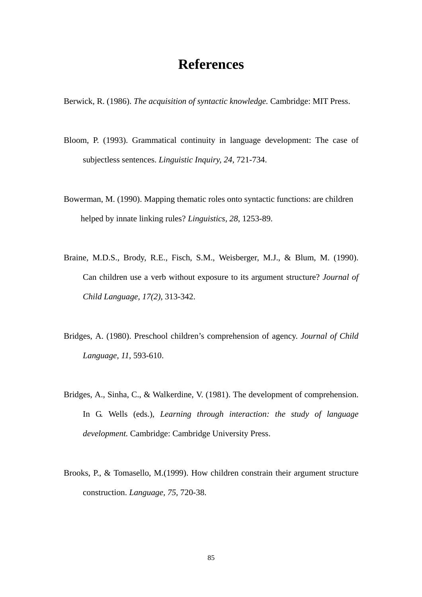### **References**

Berwick, R. (1986). *The acquisition of syntactic knowledge.* Cambridge: MIT Press.

- Bloom, P. (1993). Grammatical continuity in language development: The case of subjectless sentences. *Linguistic Inquiry, 24*, 721-734.
- Bowerman, M. (1990). Mapping thematic roles onto syntactic functions: are children helped by innate linking rules? *Linguistics, 28*, 1253-89.
- Braine, M.D.S., Brody, R.E., Fisch, S.M., Weisberger, M.J., & Blum, M. (1990). Can children use a verb without exposure to its argument structure? *Journal of Child Language, 17(2)*, 313-342.
- Bridges, A. (1980). Preschool children's comprehension of agency. *Journal of Child Language, 11*, 593-610.
- Bridges, A., Sinha, C., & Walkerdine, V. (1981). The development of comprehension. In G. Wells (eds.), *Learning through interaction: the study of language development.* Cambridge: Cambridge University Press.
- Brooks, P., & Tomasello, M.(1999). How children constrain their argument structure construction. *Language, 75,* 720-38.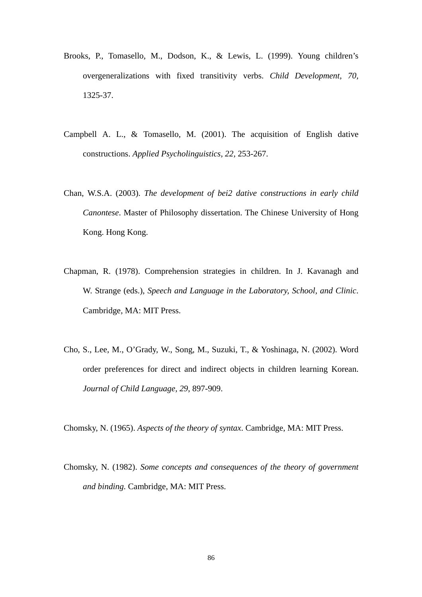- Brooks, P., Tomasello, M., Dodson, K., & Lewis, L. (1999). Young children's overgeneralizations with fixed transitivity verbs. *Child Development, 70,*  1325-37.
- Campbell A. L., & Tomasello, M. (2001). The acquisition of English dative constructions. *Applied Psycholinguistics, 22,* 253-267.
- Chan, W.S.A. (2003). *The development of bei2 dative constructions in early child Canontese*. Master of Philosophy dissertation. The Chinese University of Hong Kong. Hong Kong.
- Chapman, R. (1978). Comprehension strategies in children. In J. Kavanagh and W. Strange (eds.), *Speech and Language in the Laboratory, School, and Clinic*. Cambridge, MA: MIT Press.
- Cho, S., Lee, M., O'Grady, W., Song, M., Suzuki, T., & Yoshinaga, N. (2002). Word order preferences for direct and indirect objects in children learning Korean. *Journal of Child Language, 29*, 897-909.

Chomsky, N. (1965). *Aspects of the theory of syntax*. Cambridge, MA: MIT Press.

Chomsky, N. (1982). *Some concepts and consequences of the theory of government and binding.* Cambridge, MA: MIT Press.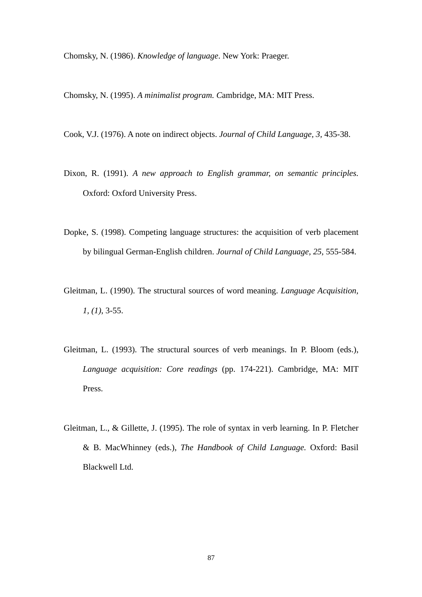Chomsky, N. (1986). *Knowledge of language*. New York: Praeger.

Chomsky, N. (1995). *A minimalist program. C*ambridge, MA: MIT Press.

- Cook, V.J. (1976). A note on indirect objects. *Journal of Child Language, 3,* 435-38.
- Dixon, R. (1991). *A new approach to English grammar, on semantic principles.*  Oxford: Oxford University Press.
- Dopke, S. (1998). Competing language structures: the acquisition of verb placement by bilingual German-English children. *Journal of Child Language, 25*, 555-584.
- Gleitman, L. (1990). The structural sources of word meaning. *Language Acquisition, 1, (1)*, 3-55.
- Gleitman, L. (1993). The structural sources of verb meanings. In P. Bloom (eds.), *Language acquisition: Core readings* (pp. 174-221). *C*ambridge, MA: MIT Press.
- Gleitman, L., & Gillette, J. (1995). The role of syntax in verb learning. In P. Fletcher & B. MacWhinney (eds.), *The Handbook of Child Language.* Oxford: Basil Blackwell Ltd.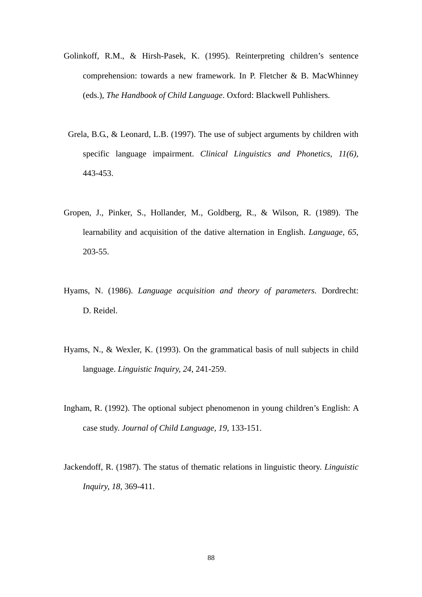- Golinkoff, R.M., & Hirsh-Pasek, K. (1995). Reinterpreting children's sentence comprehension: towards a new framework. In P. Fletcher & B. MacWhinney (eds.), *The Handbook of Child Language*. Oxford: Blackwell Puhlishers.
- Grela, B.G., & Leonard, L.B. (1997). The use of subject arguments by children with specific language impairment. *Clinical Linguistics and Phonetics, 11(6)*, 443-453.
- Gropen, J., Pinker, S., Hollander, M., Goldberg, R., & Wilson, R. (1989). The learnability and acquisition of the dative alternation in English. *Language, 65*, 203-55.
- Hyams, N. (1986). *Language acquisition and theory of parameters.* Dordrecht: D. Reidel.
- Hyams, N., & Wexler, K. (1993). On the grammatical basis of null subjects in child language. *Linguistic Inquiry, 24*, 241-259.
- Ingham, R. (1992). The optional subject phenomenon in young children's English: A case study. *Journal of Child Language, 19*, 133-151.
- Jackendoff, R. (1987). The status of thematic relations in linguistic theory. *Linguistic Inquiry, 18,* 369-411.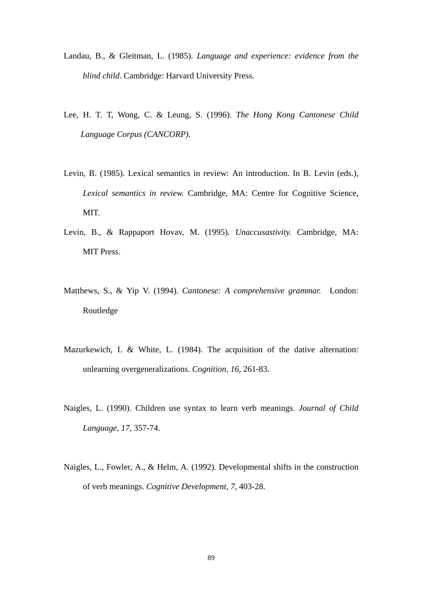- Landau, B., & Gleitman, L. (1985). *Language and experience: evidence from the blind child*. Cambridge: Harvard University Press.
- Lee, H. T. T, Wong, C. & Leung, S. (1996). *The Hong Kong Cantonese Child Language Corpus (CANCORP).*
- Levin, B. (1985). Lexical semantics in review: An introduction. In B. Levin (eds.), *Lexical semantics in review.* Cambridge, MA: Centre for Cognitive Science, MIT.
- Levin, B., & Rappaport Hovav, M. (1995). *Unaccusastivity. C*ambridge, MA: MIT Press.
- Matthews, S., & Yip V. (1994). *Cantonese: A comprehensive grammar.* London: Routledge
- Mazurkewich, I. & White, L. (1984). The acquisition of the dative alternation: unlearning overgeneralizations. *Cognition, 16,* 261-83.
- Naigles, L. (1990). Children use syntax to learn verb meanings. *Journal of Child Language, 17,* 357-74.
- Naigles, L., Fowler, A., & Helm, A. (1992). Developmental shifts in the construction of verb meanings. *Cognitive Development, 7,* 403-28.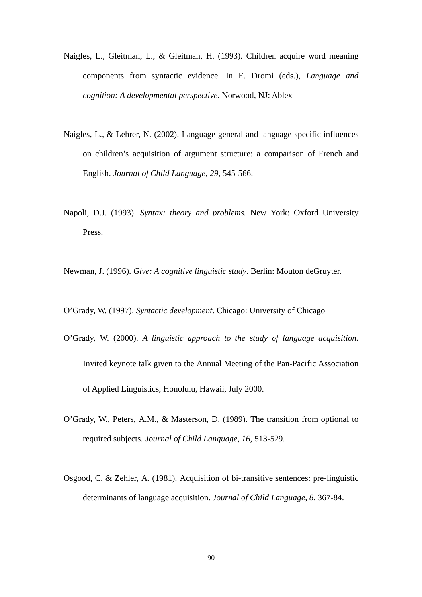- Naigles, L., Gleitman, L., & Gleitman, H. (1993). Children acquire word meaning components from syntactic evidence. In E. Dromi (eds.), *Language and cognition: A developmental perspective.* Norwood, NJ: Ablex
- Naigles, L., & Lehrer, N. (2002). Language-general and language-specific influences on children's acquisition of argument structure: a comparison of French and English. *Journal of Child Language, 29,* 545-566.
- Napoli, D.J. (1993). *Syntax: theory and problems.* New York: Oxford University Press.

Newman, J. (1996). *Give: A cognitive linguistic study*. Berlin: Mouton deGruyter.

O'Grady, W. (1997). *Syntactic development*. Chicago: University of Chicago

- O'Grady, W. (2000). *A linguistic approach to the study of language acquisition.* Invited keynote talk given to the Annual Meeting of the Pan-Pacific Association of Applied Linguistics, Honolulu, Hawaii, July 2000.
- O'Grady, W., Peters, A.M., & Masterson, D. (1989). The transition from optional to required subjects. *Journal of Child Language, 16,* 513-529.
- Osgood, C. & Zehler, A. (1981). Acquisition of bi-transitive sentences: pre-linguistic determinants of language acquisition. *Journal of Child Language, 8,* 367-84.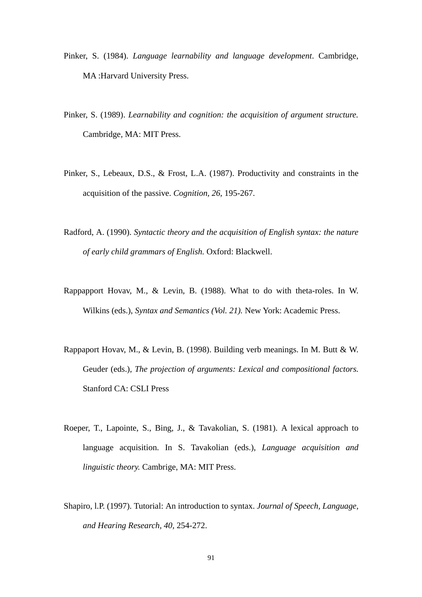- Pinker, S. (1984). *Language learnability and language development*. Cambridge, MA :Harvard University Press.
- Pinker, S. (1989). *Learnability and cognition: the acquisition of argument structure.* Cambridge, MA: MIT Press.
- Pinker, S., Lebeaux, D.S., & Frost, L.A. (1987). Productivity and constraints in the acquisition of the passive. *Cognition, 26,* 195-267.
- Radford, A. (1990). *Syntactic theory and the acquisition of English syntax: the nature of early child grammars of English.* Oxford: Blackwell.
- Rappapport Hovav, M., & Levin, B. (1988). What to do with theta-roles. In W. Wilkins (eds.), *Syntax and Semantics (Vol. 21).* New York: Academic Press.
- Rappaport Hovav, M., & Levin, B. (1998). Building verb meanings. In M. Butt & W. Geuder (eds.), *The projection of arguments: Lexical and compositional factors.* Stanford CA: CSLI Press
- Roeper, T., Lapointe, S., Bing, J., & Tavakolian, S. (1981). A lexical approach to language acquisition. In S. Tavakolian (eds.), *Language acquisition and linguistic theory.* Cambrige, MA: MIT Press.
- Shapiro, l.P. (1997). Tutorial: An introduction to syntax. *Journal of Speech, Language, and Hearing Research, 40,* 254-272.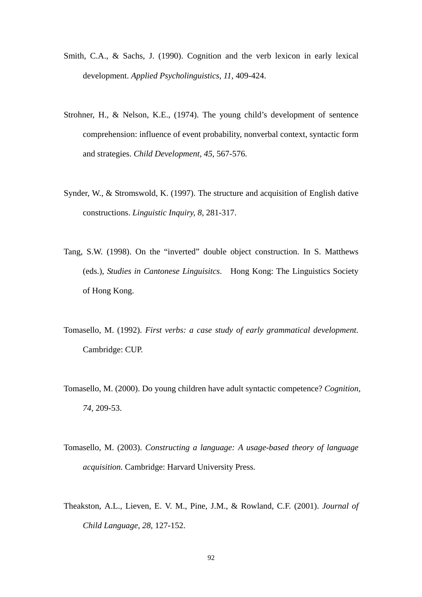- Smith, C.A., & Sachs, J. (1990). Cognition and the verb lexicon in early lexical development. *Applied Psycholinguistics, 11,* 409-424.
- Strohner, H., & Nelson, K.E., (1974). The young child's development of sentence comprehension: influence of event probability, nonverbal context, syntactic form and strategies. *Child Development, 45,* 567-576.
- Synder, W., & Stromswold, K. (1997). The structure and acquisition of English dative constructions. *Linguistic Inquiry, 8,* 281-317.
- Tang, S.W. (1998). On the "inverted" double object construction. In S. Matthews (eds.), *Studies in Cantonese Linguisitcs*. Hong Kong: The Linguistics Society of Hong Kong.
- Tomasello, M. (1992). *First verbs: a case study of early grammatical development.*  Cambridge: CUP.
- Tomasello, M. (2000). Do young children have adult syntactic competence? *Cognition, 74,* 209-53.
- Tomasello, M. (2003). *Constructing a language: A usage-based theory of language acquisition.* Cambridge: Harvard University Press.
- Theakston, A.L., Lieven, E. V. M., Pine, J.M., & Rowland, C.F. (2001). *Journal of Child Language, 28,* 127-152.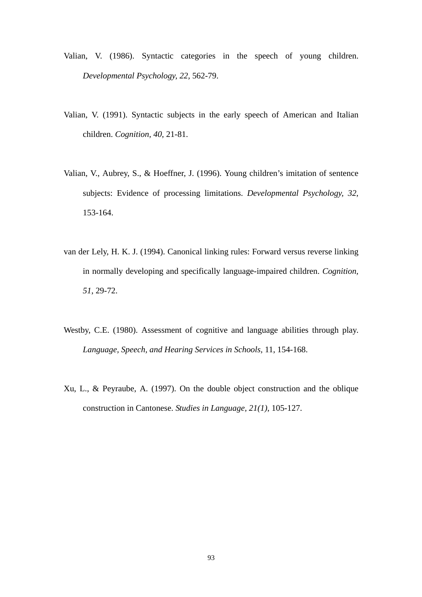- Valian, V. (1986). Syntactic categories in the speech of young children. *Developmental Psychology, 22,* 562-79.
- Valian, V. (1991). Syntactic subjects in the early speech of American and Italian children. *Cognition, 40*, 21-81.
- Valian, V., Aubrey, S., & Hoeffner, J. (1996). Young children's imitation of sentence subjects: Evidence of processing limitations. *Developmental Psychology, 32*, 153-164.
- van der Lely, H. K. J. (1994). Canonical linking rules: Forward versus reverse linking in normally developing and specifically language-impaired children. *Cognition, 51*, 29-72.
- Westby, C.E. (1980). Assessment of cognitive and language abilities through play. *Language, Speech, and Hearing Services in Schools,* 11, 154-168.
- Xu, L., & Peyraube, A. (1997). On the double object construction and the oblique construction in Cantonese. *Studies in Language, 21(1)*, 105-127.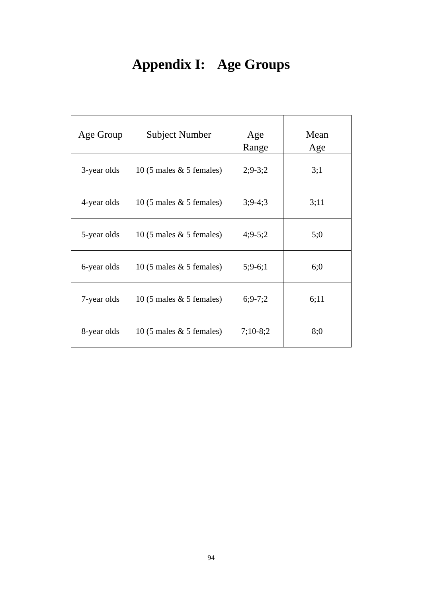## **Appendix I: Age Groups**

| Age Group   | <b>Subject Number</b>       | Age<br>Range | Mean<br>Age |
|-------------|-----------------------------|--------------|-------------|
| 3-year olds | 10 (5 males $\&$ 5 females) | $2;9-3;2$    | 3:1         |
| 4-year olds | 10 (5 males $\&$ 5 females) | $3;9-4;3$    | 3;11        |
| 5-year olds | 10 (5 males $\&$ 5 females) | $4;9-5;2$    | 5:0         |
| 6-year olds | 10 (5 males $\&$ 5 females) | $5;9-6;1$    | 6:0         |
| 7-year olds | 10 (5 males $\&$ 5 females) | $6;9-7;2$    | 6;11        |
| 8-year olds | 10 (5 males $\&$ 5 females) | $7;10-8;2$   | 8;0         |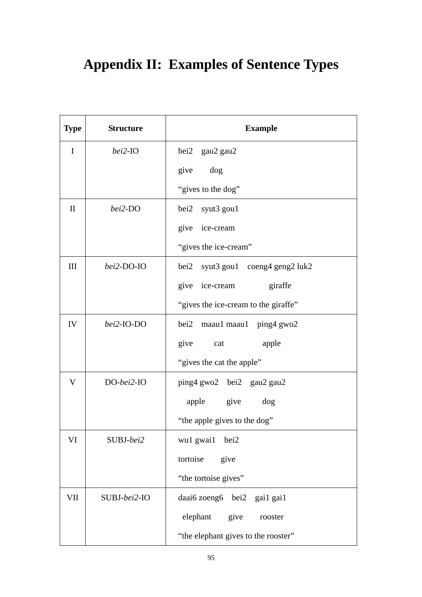### **Appendix II: Examples of Sentence Types**

| <b>Type</b>  | <b>Structure</b> | <b>Example</b>                       |
|--------------|------------------|--------------------------------------|
| $\mathbf I$  | $bei2-IO$        | bei2 gau2 gau2                       |
|              |                  | give dog                             |
|              |                  | "gives to the dog"                   |
| $\mathbf{I}$ | bei2-DO          | bei2 syut3 gou1                      |
|              |                  | give ice-cream                       |
|              |                  | "gives the ice-cream"                |
| III          | bei2-DO-IO       | bei2 syut3 gou1 coeng4 geng2 luk2    |
|              |                  | give ice-cream giraffe               |
|              |                  | "gives the ice-cream to the giraffe" |
| IV           | bei2-IO-DO       | bei2 maau1 maau1 ping4 gwo2          |
|              |                  | give<br>cat apple                    |
|              |                  | "gives the cat the apple"            |
| $\mathbf{V}$ | $DO-bei2-IO$     | ping4 gwo2 bei2 gau2 gau2            |
|              |                  | apple give dog                       |
|              |                  | "the apple gives to the dog"         |
| VI           | SUBJ-bei2        | wu1 gwai1<br>bei2                    |
|              |                  | tortoise<br>give                     |
|              |                  | "the tortoise gives"                 |
| VII          | SUBJ-bei2-IO     | daai6 zoeng6 bei2 gai1 gai1          |
|              |                  | elephant<br>give<br>rooster          |
|              |                  | "the elephant gives to the rooster"  |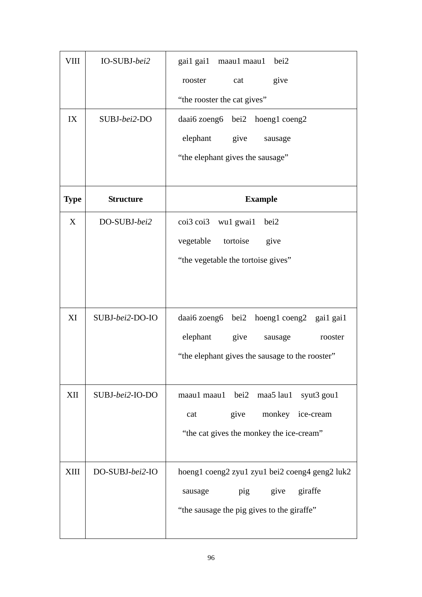| VIII        | IO-SUBJ-bei2     | gail gail maaul maaul bei2                      |
|-------------|------------------|-------------------------------------------------|
|             |                  | give<br>rooster<br>cat                          |
|             |                  | "the rooster the cat gives"                     |
| IX          | SUBJ-bei2-DO     | daai6 zoeng6 bei2 hoeng1 coeng2                 |
|             |                  | elephant<br>give<br>sausage                     |
|             |                  | "the elephant gives the sausage"                |
|             |                  |                                                 |
| <b>Type</b> | <b>Structure</b> | <b>Example</b>                                  |
| X           | DO-SUBJ-bei2     | $\cot 3 \cot 3$ wul gwai1<br>bei <sub>2</sub>   |
|             |                  | vegetable tortoise<br>give                      |
|             |                  | "the vegetable the tortoise gives"              |
|             |                  |                                                 |
|             |                  |                                                 |
| XI          | SUBJ-bei2-DO-IO  | daai6 zoeng6 bei2 hoeng1 coeng2 gai1 gai1       |
|             |                  | elephant<br>give<br>sausage<br>rooster          |
|             |                  | "the elephant gives the sausage to the rooster" |
|             |                  |                                                 |
| XII         | SUBJ-bei2-IO-DO  | maau1 maau1 bei2 maa5 lau1 syut3 gou1           |
|             |                  | give<br>monkey ice-cream<br>cat                 |
|             |                  | "the cat gives the monkey the ice-cream"        |
|             |                  |                                                 |
| XIII        | DO-SUBJ-bei2-IO  | hoeng1 coeng2 zyu1 zyu1 bei2 coeng4 geng2 luk2  |
|             |                  | pig give<br>giraffe<br>sausage                  |
|             |                  | "the sausage the pig gives to the giraffe"      |
|             |                  |                                                 |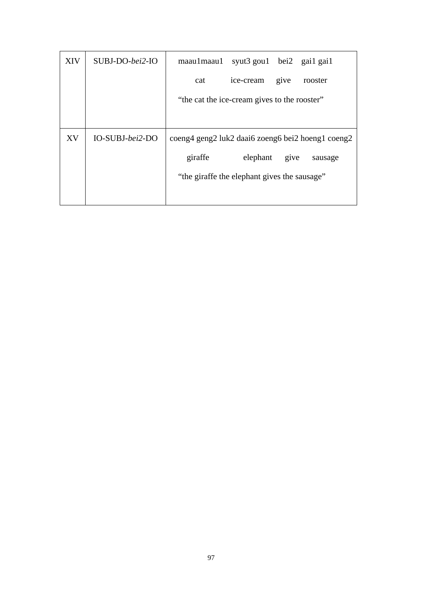| <b>XIV</b> | SUBJ-DO-bei2-IO   | maau1maau1                                        | syut3 gou1 bei2 gai1 gai1 |      |         |
|------------|-------------------|---------------------------------------------------|---------------------------|------|---------|
|            |                   | cat                                               | ice-cream                 | give | rooster |
|            |                   | "the cat the ice-cream gives to the rooster"      |                           |      |         |
|            |                   |                                                   |                           |      |         |
| XV         | $IO-SUBJ-bei2-DO$ | coeng4 geng2 luk2 daai6 zoeng6 bei2 hoeng1 coeng2 |                           |      |         |
|            |                   |                                                   |                           |      |         |
|            |                   | giraffe                                           | elephant                  | give | sausage |
|            |                   | "the giraffe the elephant gives the sausage"      |                           |      |         |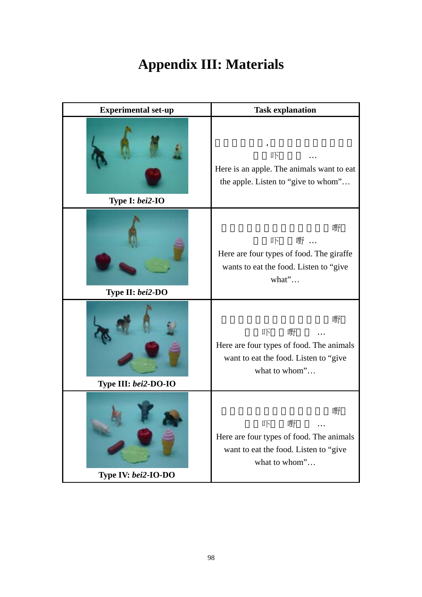## **Appendix III: Materials**

| <b>Experimental set-up</b> | <b>Task explanation</b>                                                                                           |
|----------------------------|-------------------------------------------------------------------------------------------------------------------|
| Type I: bei2-IO            | 吓<br>Here is an apple. The animals want to eat<br>the apple. Listen to "give to whom"                             |
| Type II: bei2-DO           | 嘢<br>吓<br>嘢<br>Here are four types of food. The giraffe<br>wants to eat the food. Listen to "give"<br>what"       |
| Type III: bei2-DO-IO       | 嘢<br>吓<br>嘢<br>Here are four types of food. The animals<br>want to eat the food. Listen to "give<br>what to whom" |
| Type IV: bei2-IO-DO        | 嘢<br>吓<br>嘢<br>Here are four types of food. The animals<br>want to eat the food. Listen to "give<br>what to whom" |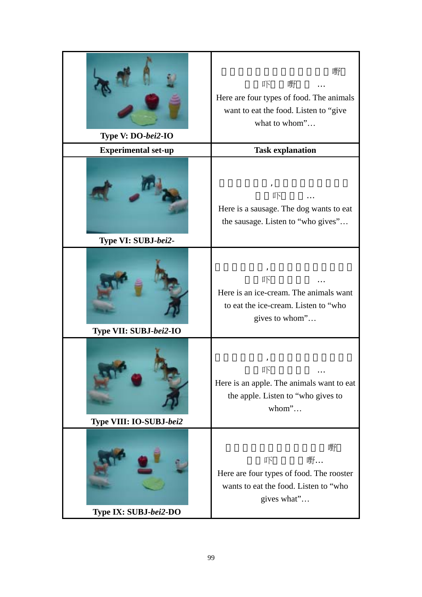| Type V: DO-bei2-IO         | 嘢<br>吓<br>嘢<br>Here are four types of food. The animals<br>want to eat the food. Listen to "give<br>what to whom" |
|----------------------------|-------------------------------------------------------------------------------------------------------------------|
| <b>Experimental set-up</b> | <b>Task explanation</b>                                                                                           |
| Type VI: SUBJ-bei2-        | 吓<br>Here is a sausage. The dog wants to eat<br>the sausage. Listen to "who gives"                                |
|                            |                                                                                                                   |
| Type VII: SUBJ-bei2-IO     | 吓<br>Here is an ice-cream. The animals want<br>to eat the ice-cream. Listen to "who<br>gives to whom"             |
| Type VIII: IO-SUBJ-bei2    | 吓<br>Here is an apple. The animals want to eat<br>the apple. Listen to "who gives to<br>whom"                     |
| Type IX: SUBJ-bei2-DO      | 嘢<br>吓<br>嘢<br>Here are four types of food. The rooster<br>wants to eat the food. Listen to "who<br>gives what"   |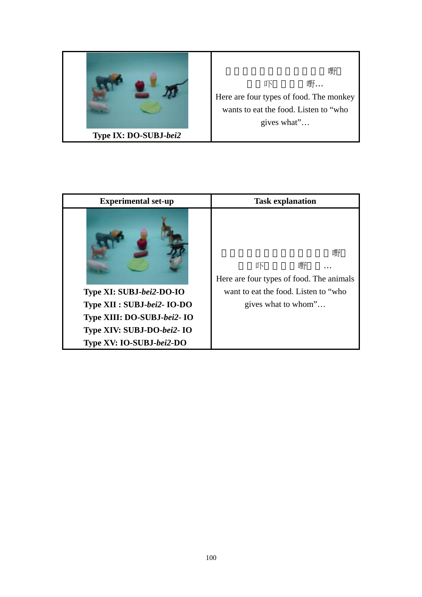

呢度有四樣食物,馬騮想食嘢, 吓 嘢 Here are four types of food. The monkey wants to eat the food. Listen to "who gives what"…

| <b>Experimental set-up</b>  | <b>Task explanation</b>                                 |
|-----------------------------|---------------------------------------------------------|
|                             | 嘢<br>吓<br>嘢<br>Here are four types of food. The animals |
| Type XI: SUBJ-bei2-DO-IO    | want to eat the food. Listen to "who                    |
| Type XII : SUBJ-bei2- IO-DO | gives what to whom"                                     |
| Type XIII: DO-SUBJ-bei2- IO |                                                         |
| Type XIV: SUBJ-DO-bei2- IO  |                                                         |
| Type XV: IO-SUBJ-bei2-DO    |                                                         |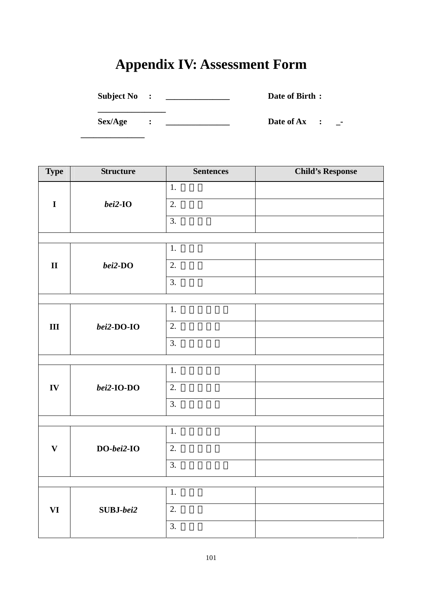### **Appendix IV: Assessment Form**

**Subject No : \_\_\_\_\_\_\_\_\_\_\_\_\_\_\_ Date of Birth :**

 **\_\_\_\_\_\_\_\_\_\_\_\_\_\_\_\_** 

**\_\_\_\_\_\_\_\_\_\_\_\_\_\_\_** 

**Sex/Age : \_\_\_\_\_\_\_\_\_\_\_\_\_\_\_ Date of Ax : \_-**

| <b>Type</b>  | <b>Structure</b> | <b>Sentences</b> | <b>Child's Response</b> |  |
|--------------|------------------|------------------|-------------------------|--|
|              |                  | 1.               |                         |  |
| $\mathbf I$  | $bei2-IO$        | 2.               |                         |  |
|              |                  | 3.               |                         |  |
|              |                  |                  |                         |  |
|              |                  | 1.               |                         |  |
| $\mathbf{I}$ | $bei2-DO$        | $\overline{2}$ . |                         |  |
|              |                  | 3.               |                         |  |
|              |                  |                  |                         |  |
|              |                  | 1.               |                         |  |
| III          | $bei2-DO-IO$     | 2.               |                         |  |
|              |                  | $\overline{3}$ . |                         |  |
|              |                  |                  |                         |  |
|              |                  | 1.               |                         |  |
| IV           | $bei2-IO-DO$     | 2.               |                         |  |
|              | 3.               |                  |                         |  |
|              |                  |                  |                         |  |
|              |                  | 1.               |                         |  |
| $\mathbf{V}$ | $DO$ -bei2-IO    | 2.               |                         |  |
|              | 3.               |                  |                         |  |
|              |                  |                  |                         |  |
|              |                  | 1.               |                         |  |
| <b>VI</b>    | SUBJ-bei2        | 2.               |                         |  |
|              |                  | 3.               |                         |  |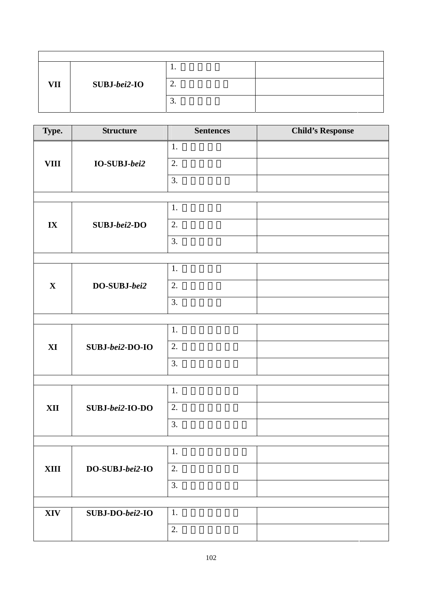|            |                              | . .      |  |
|------------|------------------------------|----------|--|
| <b>VII</b> | $SUBJ\text{-}bei2\text{-}IO$ | <u>.</u> |  |
|            |                              | ິ.       |  |

| Type.         | <b>Structure</b>                       | <b>Sentences</b> | <b>Child's Response</b> |
|---------------|----------------------------------------|------------------|-------------------------|
|               |                                        | 1.               |                         |
| <b>VIII</b>   | $IO-SUBJ-bei2$                         | 2.               |                         |
|               |                                        | 3.               |                         |
|               |                                        |                  |                         |
|               |                                        | 1.               |                         |
| $\mathbf{IX}$ | $SUBJ\text{-}bei2\text{-}DO$           | 2.               |                         |
|               |                                        | 3.               |                         |
|               |                                        |                  |                         |
|               |                                        | 1.               |                         |
| $\mathbf X$   | $DO-SUBJ-bei2$                         | 2.               |                         |
|               |                                        | 3.               |                         |
|               |                                        |                  |                         |
|               |                                        | 1.               |                         |
| XI            | $SUBJ\text{-}bei2\text{-}DO\text{-}IO$ | 2.               |                         |
|               |                                        | 3.               |                         |
|               |                                        |                  |                         |
|               |                                        | 1.               |                         |
| XII           | $SUBJ\text{-}bei2\text{-}IO\text{-}DO$ | 2.               |                         |
|               |                                        | 3.               |                         |
|               |                                        |                  |                         |
|               |                                        | 1.               |                         |
| XIII          | DO-SUBJ-bei2-IO                        | 2.               |                         |
|               |                                        | 3.               |                         |
|               |                                        |                  |                         |
| <b>XIV</b>    | SUBJ-DO-bei2-IO                        | 1.               |                         |
|               |                                        | 2.               |                         |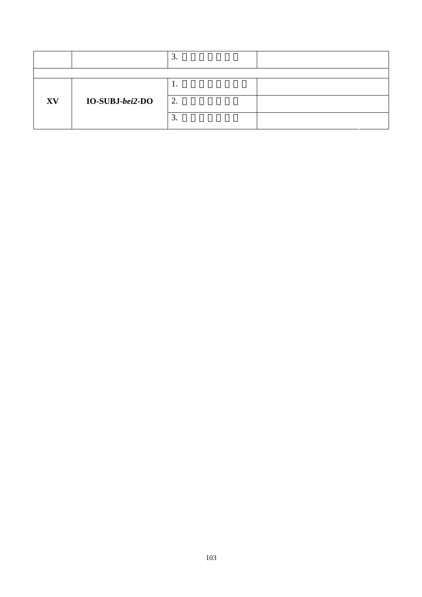|    |                        | ິ.  |  |
|----|------------------------|-----|--|
|    |                        |     |  |
|    |                        | . . |  |
| XV | <b>IO-SUBJ-bei2-DO</b> | 2.  |  |
|    |                        | J.  |  |